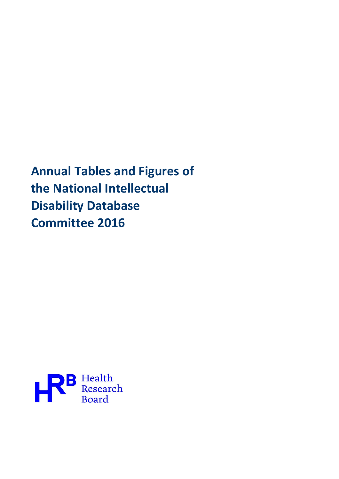Annual Tables and Figures of the National Intellectual Disability Database Committee 2016

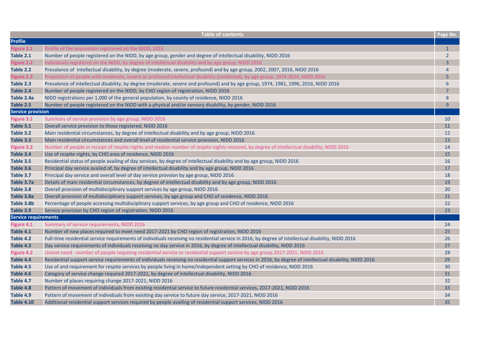|                             | <b>Table of contents</b>                                                                                                                                   | Page No.       |
|-----------------------------|------------------------------------------------------------------------------------------------------------------------------------------------------------|----------------|
| <b>Profile</b>              |                                                                                                                                                            |                |
| Figure 2.1                  | Profile of the population registered on the NIDD, 2016                                                                                                     | $\mathbf{1}$   |
| Table 2.1                   | Number of people registered on the NIDD, by age group, gender and degree of intellectual disability, NIDD 2016                                             | $\overline{2}$ |
| Figure 2.2                  | Individuals registered on the NIDD, by degree of intellectual disability and by age group, NIDD 2016                                                       | $\overline{3}$ |
| Table 2.2                   | Prevalance of intellectual disability, by degree (moderate, severe, profound) and by age group, 2002, 2007, 2016, NIDD 2016                                | $\overline{4}$ |
| Figure 2.3                  | Proportion of people with moderate, severe or profound intellectual disability (combined), by age group, 1974-2016, NIDD 2016                              | 5              |
| Table 2.3                   | Prevalence of intellectual disability, by degree (moderate, severe and profound) and by age group, 1974, 1981, 1996, 2016, NIDD 2016                       | 6              |
| Table 2.4                   | Number of people registered on the NIDD, by CHO region of registration, NIDD 2016                                                                          | $\overline{7}$ |
| Table 2.4a                  | NIDD registrations per 1,000 of the general population, by county of residence, NIDD 2016                                                                  | 8              |
| Table 2.5                   | Number of people registered on the NIDD with a physical and/or sensory disability, by gender, NIDD 2016                                                    | 9              |
| <b>Service provision</b>    |                                                                                                                                                            |                |
| Figure 3.1                  | Summary of service provision by age group, NIDD 2016                                                                                                       | 10             |
| Table 3.1                   | Overall service provision to those registered, NIDD 2016                                                                                                   | 11             |
| Table 3.2                   | Main residential circumstances, by degree of intellectual disability and by age group, NIDD 2016                                                           | 12             |
| Table 3.3                   | Main residential circumstances and overall level of residential service provision, NIDD 2016                                                               | 13             |
| <b>Figure 3.2</b>           | Number of people in receipt of respite nights and median number of respite nights received, by degree of intellectual disability, NIDD 2016                | 14             |
| Table 3.4                   | Use of respite nights, by CHO area of residence, NIDD 2016                                                                                                 | 15             |
| Table 3.5                   | Residential status of people availing of day services, by degree of intellectual disability and by age group, NIDD 2016                                    | 16             |
| Table 3.6                   | Principal day service availed of, by degree of intellectual disability and by age group, NIDD 2016                                                         | 17             |
| Table 3.7                   | Principal day service and overall level of day service provsion by age group, NIDD 2016                                                                    | 18             |
| Table 3.7a                  | Details of main residential circumstances, by degree of intellectual disability and by age group, NIDD 2016                                                | 19             |
| Table 3.8                   | Overall provision of multidisciplinary support services by age group, NIDD 2016                                                                            | 20             |
| Table 3.8a                  | Overall provision of multidisciplinary support services, by age group and CHO of residence, NIDD 2016                                                      | 21             |
| Table 3.8b                  | Percentage of people accessing multidisciplinary support services, by age group and CHO of residence, NIDD 2016                                            | 22             |
| Table 3.9                   | Service provision by CHO region of registration, NIDD 2016                                                                                                 | 23             |
| <b>Service requirements</b> |                                                                                                                                                            |                |
| Figure 4.1                  | Summary of service requirements, NIDD 2016                                                                                                                 | 24             |
| Table 4.1                   | Number of new places required to meet need 2017-2021 by CHO region of registration, NIDD 2016                                                              | 25             |
| Table 4.2                   | Full-time residential service requirements of individuals receiving no residential service in 2016, by degree of intellectual disability, NIDD 2016        | 26             |
| Table 4.3                   | Day service requirements of individuals receiving no day service in 2016, by degree of intellectual disability, NIDD 2016                                  | 27             |
| Figure 4.2                  | Unmet need - number of people requiring residential service or residential support service by age group 2017-2021, NIDD 2016                               | 28             |
| Table 4.4                   | Residential support service requirements of individuals receiving no residential support services in 2016, by degree of intellectual disability, NIDD 2016 | 29             |
| Table 4.5                   | Use of and requirement for respite services by people living in home/independent setting by CHO of residence, NIDD 2016                                    | 30             |
| Table 4.6                   | Category of service change required 2017-2021, by degree of intellectual disability, NIDD 2016                                                             | 31             |
| Table 4.7                   | Number of places requiring change 2017-2021, NIDD 2016                                                                                                     | 32             |
| Table 4.8                   | Pattern of movement of individuals from existing residential service to future residential services, 2017-2021, NIDD 2016                                  | 33             |
| Table 4.9                   | Pattern of movement of individuals from exisiting day service to future day service, 2017-2021, NIDD 2016                                                  | 34             |
| <b>Table 4.10</b>           | Additional residential support services required by people availing of residential support services, NIDD 2016                                             | 35             |
|                             |                                                                                                                                                            |                |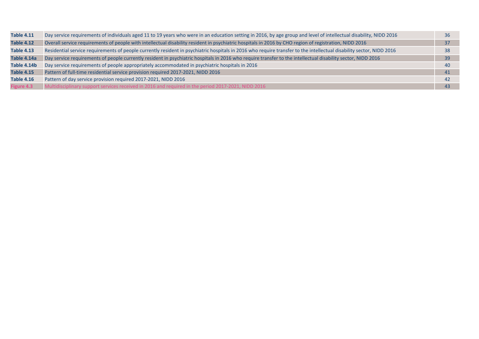| <b>Table 4.11</b> | Day service requirements of individuals aged 11 to 19 years who were in an education setting in 2016, by age group and level of intellectual disability, NIDD 2016   | 36 |
|-------------------|----------------------------------------------------------------------------------------------------------------------------------------------------------------------|----|
| <b>Table 4.12</b> | Overall service requirements of people with intellectual disability resident in psychiatric hospitals in 2016 by CHO region of registration, NIDD 2016               | 37 |
| <b>Table 4.13</b> | Residential service requirements of people currently resident in psychiatric hospitals in 2016 who require transfer to the intellectual disability sector, NIDD 2016 |    |
| Table 4.14a       | Day service requirements of people currently resident in psychiatric hospitals in 2016 who require transfer to the intellectual disability sector, NIDD 2016         | 39 |
| Table 4.14b       | Day service requirements of people appropriately accommodated in psychiatric hospitals in 2016                                                                       | 40 |
| <b>Table 4.15</b> | Pattern of full-time residential service provision required 2017-2021, NIDD 2016                                                                                     | 41 |
| <b>Table 4.16</b> | Pattern of day service provision required 2017-2021, NIDD 2016                                                                                                       | 42 |
| Figure 4.3        | Multidisciplinary support services received in 2016 and required in the period 2017-2021, NIDD 2016                                                                  | 43 |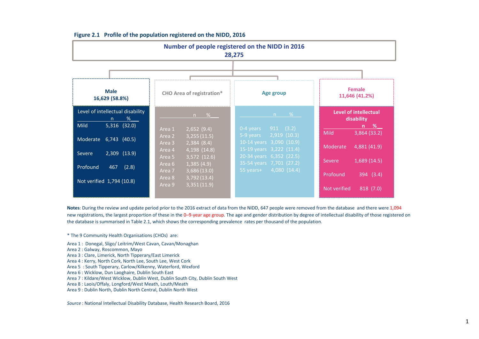|                                                                               | Number of people registered on the NIDD in 2016<br>28,275                             |                                                                                  |                                                        |  |  |  |  |  |  |  |  |  |  |
|-------------------------------------------------------------------------------|---------------------------------------------------------------------------------------|----------------------------------------------------------------------------------|--------------------------------------------------------|--|--|--|--|--|--|--|--|--|--|
|                                                                               |                                                                                       |                                                                                  |                                                        |  |  |  |  |  |  |  |  |  |  |
| <b>Male</b><br>16,629 (58.8%)                                                 | <b>CHO Area of registration*</b>                                                      | Age group                                                                        | <b>Female</b><br>11,646 (41.2%)                        |  |  |  |  |  |  |  |  |  |  |
| Level of intellectual disability<br>%<br>n<br><b>Mild</b><br>$5,316$ $(32.0)$ | $n \times$<br>2,652(9.4)<br>Area 1                                                    | - % -<br>n<br>$0-4$ years<br>$911$ (3.2)                                         | Level of intellectual<br>disability<br><u>n % </u>     |  |  |  |  |  |  |  |  |  |  |
| Moderate<br>$6,743$ $(40.5)$                                                  | 3,255(11.5)<br>Area 2<br>2,384(8.4)<br>Area 3                                         | 2,919(10.3)<br>5-9 years<br>10-14 years 3,090 (10.9)                             | <b>Mild</b><br>3,864(33.2)<br>Moderate<br>4,881 (41.9) |  |  |  |  |  |  |  |  |  |  |
| 2,309 (13.9)<br>Severe<br>Profound<br>467<br>(2.8)                            | 4,198 (14.8)<br>Area 4<br>$\overline{3,572}$ (12.6)<br>Area 5<br>1,385(4.9)<br>Area 6 | 15-19 years 3,222 (11.4)<br>20-34 years 6,352 (22.5)<br>35-54 years 7,701 (27.2) | 1,689(14.5)<br><b>Severe</b>                           |  |  |  |  |  |  |  |  |  |  |
| Not verified 1,794 (10.8)                                                     | 3,686(13.0)<br>Area 7<br>3,792(13.4)<br>Area 8<br>3,351(11.9)<br>Area 9               | 4,080(14.4)<br>55 years+                                                         | Profound<br>394(3.4)<br>Not verified<br>818 (7.0)      |  |  |  |  |  |  |  |  |  |  |

## Figure 2.1 Profile of the population registered on the NIDD, 2016

Notes: During the review and update period prior to the 2016 extract of data from the NIDD, 647 people were removed from the database and there were 1,094 new registrations, the largest proportion of these in the 0-9-year age group. The age and gender distribution by degree of intellectual disability of those registered on the database is summarised in Table 2.1, which shows the corresponding prevalence rates per thousand of the population.

\* The 9 Community Health Organisations (CHOs) are:

Area 1 : Donegal, Sligo/ Leitrim/West Cavan, Cavan/Monaghan

- Area 2 : Galway, Roscommon, Mayo
- Area 3 : Clare, Limerick, North Tipperary/East Limerick
- Area 4 : Kerry, North Cork, North Lee, South Lee, West Cork

Area 5 : South Tipperary, Carlow/Kilkenny, Waterford, Wexford

Area 6 : Wicklow, Dun Laoghaire, Dublin South East

Area 7 : Kildare/West Wicklow, Dublin West, Dublin South City, Dublin South West

Area 8 : Laois/Offaly, Longford/West Meath, Louth/Meath

Area 9 : Dublin North, Dublin North Central, Dublin North West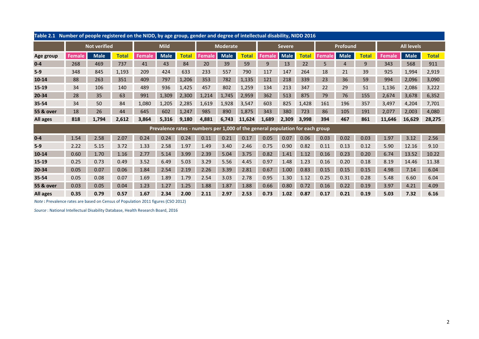| Table 2.1 Number of people registered on the NIDD, by age group, gender and degree of intellectual disability, NIDD 2016 |        |                     |              |               |             |              |        |                 |              |                                                                               |               |              |        |                |              |               |                   |              |  |
|--------------------------------------------------------------------------------------------------------------------------|--------|---------------------|--------------|---------------|-------------|--------------|--------|-----------------|--------------|-------------------------------------------------------------------------------|---------------|--------------|--------|----------------|--------------|---------------|-------------------|--------------|--|
|                                                                                                                          |        | <b>Not verified</b> |              | <b>Mild</b>   |             |              |        | <b>Moderate</b> |              |                                                                               | <b>Severe</b> |              |        | Profound       |              |               | <b>All levels</b> |              |  |
| Age group                                                                                                                | Female | <b>Male</b>         | <b>Total</b> | <b>Female</b> | <b>Male</b> | <b>Total</b> | Female | <b>Male</b>     | <b>Total</b> | <b>Female</b>                                                                 | <b>Male</b>   | <b>Total</b> | Female | <b>Male</b>    | <b>Total</b> | <b>Female</b> | <b>Male</b>       | <b>Total</b> |  |
| $0 - 4$                                                                                                                  | 268    | 469                 | 737          | 41            | 43          | 84           | 20     | 39              | 59           | 9                                                                             | 13            | 22           | 5      | $\overline{4}$ | 9            | 343           | 568               | 911          |  |
| $5-9$                                                                                                                    | 348    | 845                 | 1,193        | 209           | 424         | 633          | 233    | 557             | 790          | 117                                                                           | 147           | 264          | 18     | 21             | 39           | 925           | 1,994             | 2,919        |  |
| 10-14                                                                                                                    | 88     | 263                 | 351          | 409           | 797         | 1,206        | 353    | 782             | 1,135        | 121                                                                           | 218           | 339          | 23     | 36             | 59           | 994           | 2,096             | 3,090        |  |
| 15-19                                                                                                                    | 34     | 106                 | 140          | 489           | 936         | 1,425        | 457    | 802             | 1,259        | 134                                                                           | 213           | 347          | 22     | 29             | 51           | 1,136         | 2,086             | 3,222        |  |
| 20-34                                                                                                                    | 28     | 35                  | 63           | 991           | 1,309       | 2,300        | 1.214  | 1,745           | 2,959        | 362                                                                           | 513           | 875          | 79     | 76             | 155          | 2,674         | 3,678             | 6,352        |  |
| 35-54                                                                                                                    | 34     | 50                  | 84           | 1,080         | 1,205       | 2,285        | 1,619  | 1,928           | 3,547        | 603                                                                           | 825           | 1,428        | 161    | 196            | 357          | 3,497         | 4,204             | 7,701        |  |
| <b>55 &amp; over</b>                                                                                                     | 18     | 26                  | 44           | 645           | 602         | 1,247        | 985    | 890             | 1,875        | 343                                                                           | 380           | 723          | 86     | 105            | 191          | 2,077         | 2,003             | 4,080        |  |
| All ages                                                                                                                 | 818    | 1,794               | 2,612        | 3,864         | 5,316       | 9,180        | 4,881  | 6,743           | 11,624       | 1,689                                                                         | 2,309         | 3,998        | 394    | 467            | 861          | 11,646        | 16,629            | 28,275       |  |
|                                                                                                                          |        |                     |              |               |             |              |        |                 |              | Prevalence rates - numbers per 1,000 of the general population for each group |               |              |        |                |              |               |                   |              |  |
| $0-4$                                                                                                                    | 1.54   | 2.58                | 2.07         | 0.24          | 0.24        | 0.24         | 0.11   | 0.21            | 0.17         | 0.05                                                                          | 0.07          | 0.06         | 0.03   | 0.02           | 0.03         | 1.97          | 3.12              | 2.56         |  |
| $5-9$                                                                                                                    | 2.22   | 5.15                | 3.72         | 1.33          | 2.58        | 1.97         | 1.49   | 3.40            | 2.46         | 0.75                                                                          | 0.90          | 0.82         | 0.11   | 0.13           | 0.12         | 5.90          | 12.16             | 9.10         |  |
| $10 - 14$                                                                                                                | 0.60   | 1.70                | 1.16         | 2.77          | 5.14        | 3.99         | 2.39   | 5.04            | 3.75         | 0.82                                                                          | 1.41          | 1.12         | 0.16   | 0.23           | 0.20         | 6.74          | 13.52             | 10.22        |  |
| 15-19                                                                                                                    | 0.25   | 0.73                | 0.49         | 3.52          | 6.49        | 5.03         | 3.29   | 5.56            | 4.45         | 0.97                                                                          | 1.48          | 1.23         | 0.16   | 0.20           | 0.18         | 8.19          | 14.46             | 11.38        |  |
| 20-34                                                                                                                    | 0.05   | 0.07                | 0.06         | 1.84          | 2.54        | 2.19         | 2.26   | 3.39            | 2.81         | 0.67                                                                          | 1.00          | 0.83         | 0.15   | 0.15           | 0.15         | 4.98          | 7.14              | 6.04         |  |
| 35-54                                                                                                                    | 0.05   | 0.08                | 0.07         | 1.69          | 1.89        | 1.79         | 2.54   | 3.03            | 2.78         | 0.95                                                                          | 1.30          | 1.12         | 0.25   | 0.31           | 0.28         | 5.48          | 6.60              | 6.04         |  |
| <b>55 &amp; over</b>                                                                                                     | 0.03   | 0.05                | 0.04         | 1.23          | 1.27        | 1.25         | 1.88   | 1.87            | 1.88         | 0.66                                                                          | 0.80          | 0.72         | 0.16   | 0.22           | 0.19         | 3.97          | 4.21              | 4.09         |  |
| All ages                                                                                                                 | 0.35   | 0.79                | 0.57         | 1.67          | 2.34        | 2.00         | 2.11   | 2.97            | 2.53         | 0.73                                                                          | 1.02          | 0.87         | 0.17   | 0.21           | 0.19         | 5.03          | 7.32              | 6.16         |  |

Note : Prevalence rates are based on Census of Population 2011 figures (CSO 2012)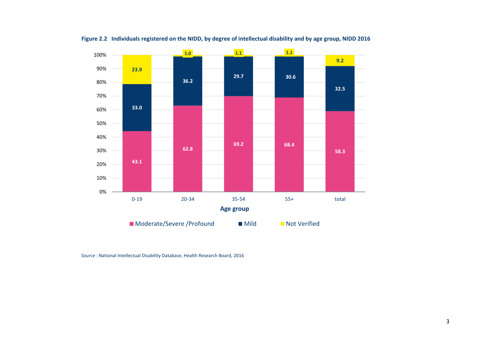

Figure 2.2 Individuals registered on the NIDD, by degree of intellectual disability and by age group, NIDD 2016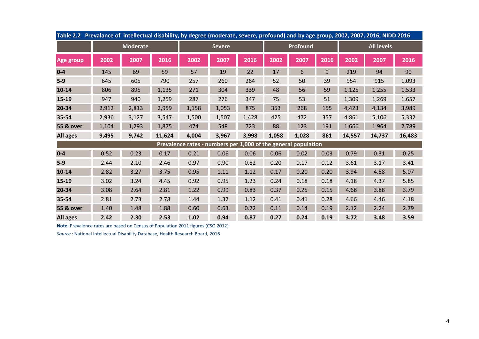| Table 2.2 Prevalance of intellectual disability, by degree (moderate, severe, profound) and by age group, 2002, 2007, 2016, NIDD 2016 |       |                 |        |                                                                |               |       |       |          |      |                   |        |        |  |
|---------------------------------------------------------------------------------------------------------------------------------------|-------|-----------------|--------|----------------------------------------------------------------|---------------|-------|-------|----------|------|-------------------|--------|--------|--|
|                                                                                                                                       |       | <b>Moderate</b> |        |                                                                | <b>Severe</b> |       |       | Profound |      | <b>All levels</b> |        |        |  |
| <b>Age group</b>                                                                                                                      | 2002  | 2007            | 2016   | 2002                                                           | 2007          | 2016  | 2002  | 2007     | 2016 | 2002              | 2007   | 2016   |  |
| $0 - 4$                                                                                                                               | 145   | 69              | 59     | 57                                                             | 19            | 22    | 17    | 6        | 9    | 219               | 94     | 90     |  |
| $5-9$                                                                                                                                 | 645   | 605             | 790    | 257                                                            | 260           | 264   | 52    | 50       | 39   | 954               | 915    | 1,093  |  |
| $10 - 14$                                                                                                                             | 806   | 895             | 1,135  | 271                                                            | 304           | 339   | 48    | 56       | 59   | 1,125             | 1,255  | 1,533  |  |
| 15-19                                                                                                                                 | 947   | 940             | 1,259  | 287                                                            | 276           | 347   | 75    | 53       | 51   | 1,309             | 1,269  | 1,657  |  |
| 20-34                                                                                                                                 | 2,912 | 2,813           | 2,959  | 1,158                                                          | 1,053         | 875   | 353   | 268      | 155  | 4,423             | 4,134  | 3,989  |  |
| 35-54                                                                                                                                 | 2,936 | 3,127           | 3,547  | 1,500                                                          | 1,507         | 1,428 | 425   | 472      | 357  | 4,861             | 5,106  | 5,332  |  |
| <b>55 &amp; over</b>                                                                                                                  | 1,104 | 1,293           | 1,875  | 474                                                            | 548           | 723   | 88    | 123      | 191  | 1,666             | 1,964  | 2,789  |  |
| All ages                                                                                                                              | 9,495 | 9,742           | 11,624 | 4,004                                                          | 3,967         | 3,998 | 1,058 | 1,028    | 861  | 14,557            | 14,737 | 16,483 |  |
|                                                                                                                                       |       |                 |        | Prevalence rates - numbers per 1,000 of the general population |               |       |       |          |      |                   |        |        |  |
| $0-4$                                                                                                                                 | 0.52  | 0.23            | 0.17   | 0.21                                                           | 0.06          | 0.06  | 0.06  | 0.02     | 0.03 | 0.79              | 0.31   | 0.25   |  |
| $5-9$                                                                                                                                 | 2.44  | 2.10            | 2.46   | 0.97                                                           | 0.90          | 0.82  | 0.20  | 0.17     | 0.12 | 3.61              | 3.17   | 3.41   |  |
| $10 - 14$                                                                                                                             | 2.82  | 3.27            | 3.75   | 0.95                                                           | 1.11          | 1.12  | 0.17  | 0.20     | 0.20 | 3.94              | 4.58   | 5.07   |  |
| 15-19                                                                                                                                 | 3.02  | 3.24            | 4.45   | 0.92                                                           | 0.95          | 1.23  | 0.24  | 0.18     | 0.18 | 4.18              | 4.37   | 5.85   |  |
| 20-34                                                                                                                                 | 3.08  | 2.64            | 2.81   | 1.22                                                           | 0.99          | 0.83  | 0.37  | 0.25     | 0.15 | 4.68              | 3.88   | 3.79   |  |
| 35-54                                                                                                                                 | 2.81  | 2.73            | 2.78   | 1.44                                                           | 1.32          | 1.12  | 0.41  | 0.41     | 0.28 | 4.66              | 4.46   | 4.18   |  |
| 55 & over                                                                                                                             | 1.40  | 1.48            | 1.88   | 0.60                                                           | 0.63          | 0.72  | 0.11  | 0.14     | 0.19 | 2.12              | 2.24   | 2.79   |  |
| All ages                                                                                                                              | 2.42  | 2.30            | 2.53   | 1.02                                                           | 0.94          | 0.87  | 0.27  | 0.24     | 0.19 | 3.72              | 3.48   | 3.59   |  |

Note: Prevalence rates are based on Census of Population 2011 figures (CSO 2012)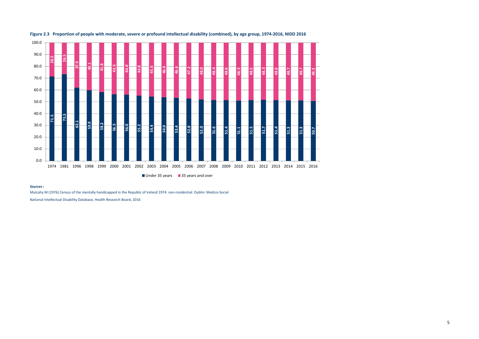



Sources:

Mulcahy M (1976) Census of the mentally handicapped in the Republic of Ireland 1974: non-residential. Dublin: Medico-Social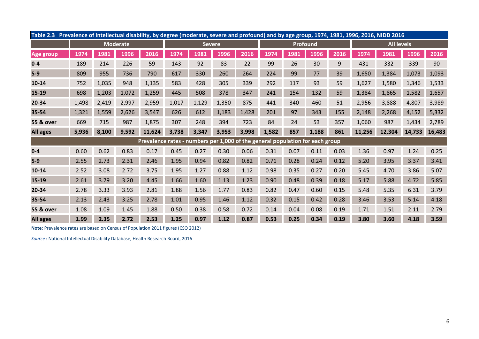|           | Table 2.3 Prevalence of intellectual disability, by degree (moderate, severe and profound) and by age group, 1974, 1981, 1996, 2016, NIDD 2016 |       |                 |                                                                               |       |               |       |       |       |          |       |      |                   |        |        |        |
|-----------|------------------------------------------------------------------------------------------------------------------------------------------------|-------|-----------------|-------------------------------------------------------------------------------|-------|---------------|-------|-------|-------|----------|-------|------|-------------------|--------|--------|--------|
|           |                                                                                                                                                |       | <b>Moderate</b> |                                                                               |       | <b>Severe</b> |       |       |       | Profound |       |      | <b>All levels</b> |        |        |        |
| Age group | 1974                                                                                                                                           | 1981  | 1996            | 2016                                                                          | 1974  | 1981          | 1996  | 2016  | 1974  | 1981     | 1996  | 2016 | 1974              | 1981   | 1996   | 2016   |
| $0 - 4$   | 189                                                                                                                                            | 214   | 226             | 59                                                                            | 143   | 92            | 83    | 22    | 99    | 26       | 30    | 9    | 431               | 332    | 339    | 90     |
| $5-9$     | 809                                                                                                                                            | 955   | 736             | 790                                                                           | 617   | 330           | 260   | 264   | 224   | 99       | 77    | 39   | 1,650             | 1,384  | 1,073  | 1,093  |
| $10 - 14$ | 752                                                                                                                                            | 1,035 | 948             | 1,135                                                                         | 583   | 428           | 305   | 339   | 292   | 117      | 93    | 59   | 1,627             | 1,580  | 1,346  | 1,533  |
| 15-19     | 698                                                                                                                                            | 1,203 | 1,072           | 1,259                                                                         | 445   | 508           | 378   | 347   | 241   | 154      | 132   | 59   | 1,384             | 1,865  | 1,582  | 1,657  |
| 20-34     | 1,498                                                                                                                                          | 2,419 | 2,997           | 2,959                                                                         | 1,017 | 1,129         | 1,350 | 875   | 441   | 340      | 460   | 51   | 2,956             | 3,888  | 4,807  | 3,989  |
| 35-54     | 1,321                                                                                                                                          | 1,559 | 2,626           | 3,547                                                                         | 626   | 612           | 1,183 | 1,428 | 201   | 97       | 343   | 155  | 2,148             | 2,268  | 4,152  | 5,332  |
| 55 & over | 669                                                                                                                                            | 715   | 987             | 1,875                                                                         | 307   | 248           | 394   | 723   | 84    | 24       | 53    | 357  | 1,060             | 987    | 1,434  | 2,789  |
| All ages  | 5,936                                                                                                                                          | 8,100 | 9,592           | 11,624                                                                        | 3,738 | 3,347         | 3,953 | 3,998 | 1,582 | 857      | 1,188 | 861  | 11,256            | 12,304 | 14,733 | 16,483 |
|           |                                                                                                                                                |       |                 | Prevalence rates - numbers per 1,000 of the general population for each group |       |               |       |       |       |          |       |      |                   |        |        |        |
| $0 - 4$   | 0.60                                                                                                                                           | 0.62  | 0.83            | 0.17                                                                          | 0.45  | 0.27          | 0.30  | 0.06  | 0.31  | 0.07     | 0.11  | 0.03 | 1.36              | 0.97   | 1.24   | 0.25   |
| $5-9$     | 2.55                                                                                                                                           | 2.73  | 2.31            | 2.46                                                                          | 1.95  | 0.94          | 0.82  | 0.82  | 0.71  | 0.28     | 0.24  | 0.12 | 5.20              | 3.95   | 3.37   | 3.41   |
| $10 - 14$ | 2.52                                                                                                                                           | 3.08  | 2.72            | 3.75                                                                          | 1.95  | 1.27          | 0.88  | 1.12  | 0.98  | 0.35     | 0.27  | 0.20 | 5.45              | 4.70   | 3.86   | 5.07   |
| 15-19     | 2.61                                                                                                                                           | 3.79  | 3.20            | 4.45                                                                          | 1.66  | 1.60          | 1.13  | 1.23  | 0.90  | 0.48     | 0.39  | 0.18 | 5.17              | 5.88   | 4.72   | 5.85   |
| 20-34     | 2.78                                                                                                                                           | 3.33  | 3.93            | 2.81                                                                          | 1.88  | 1.56          | 1.77  | 0.83  | 0.82  | 0.47     | 0.60  | 0.15 | 5.48              | 5.35   | 6.31   | 3.79   |
| 35-54     | 2.13                                                                                                                                           | 2.43  | 3.25            | 2.78                                                                          | 1.01  | 0.95          | 1.46  | 1.12  | 0.32  | 0.15     | 0.42  | 0.28 | 3.46              | 3.53   | 5.14   | 4.18   |
| 55 & over | 1.08                                                                                                                                           | 1.09  | 1.45            | 1.88                                                                          | 0.50  | 0.38          | 0.58  | 0.72  | 0.14  | 0.04     | 0.08  | 0.19 | 1.71              | 1.51   | 2.11   | 2.79   |
| All ages  | 1.99                                                                                                                                           | 2.35  | 2.72            | 2.53                                                                          | 1.25  | 0.97          | 1.12  | 0.87  | 0.53  | 0.25     | 0.34  | 0.19 | 3.80              | 3.60   | 4.18   | 3.59   |

Note: Prevalence rates are based on Census of Population 2011 figures (CSO 2012)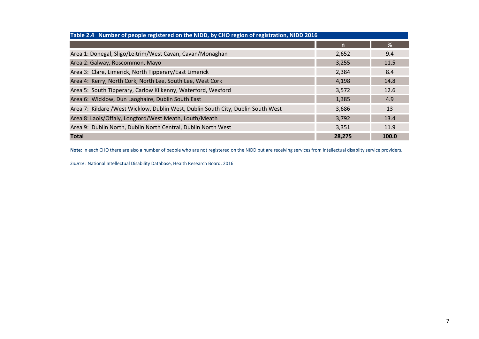| Table 2.4 Number of people registered on the NIDD, by CHO region of registration, NIDD 2016 |        |       |  |  |  |  |  |  |  |  |  |
|---------------------------------------------------------------------------------------------|--------|-------|--|--|--|--|--|--|--|--|--|
|                                                                                             | n      | %     |  |  |  |  |  |  |  |  |  |
| Area 1: Donegal, Sligo/Leitrim/West Cavan, Cavan/Monaghan                                   | 2,652  | 9.4   |  |  |  |  |  |  |  |  |  |
| Area 2: Galway, Roscommon, Mayo                                                             | 3,255  | 11.5  |  |  |  |  |  |  |  |  |  |
| Area 3: Clare, Limerick, North Tipperary/East Limerick                                      | 2,384  | 8.4   |  |  |  |  |  |  |  |  |  |
| Area 4: Kerry, North Cork, North Lee, South Lee, West Cork                                  | 4,198  | 14.8  |  |  |  |  |  |  |  |  |  |
| Area 5: South Tipperary, Carlow Kilkenny, Waterford, Wexford                                | 3,572  | 12.6  |  |  |  |  |  |  |  |  |  |
| Area 6: Wicklow, Dun Laoghaire, Dublin South East                                           | 1,385  | 4.9   |  |  |  |  |  |  |  |  |  |
| Area 7: Kildare /West Wicklow, Dublin West, Dublin South City, Dublin South West            | 3,686  | 13    |  |  |  |  |  |  |  |  |  |
| Area 8: Laois/Offaly, Longford/West Meath, Louth/Meath                                      | 3,792  | 13.4  |  |  |  |  |  |  |  |  |  |
| Area 9: Dublin North, Dublin North Central, Dublin North West                               | 3,351  | 11.9  |  |  |  |  |  |  |  |  |  |
| <b>Total</b>                                                                                | 28,275 | 100.0 |  |  |  |  |  |  |  |  |  |

Note: In each CHO there are also a number of people who are not registered on the NIDD but are receiving services from intellectual disabilty service providers.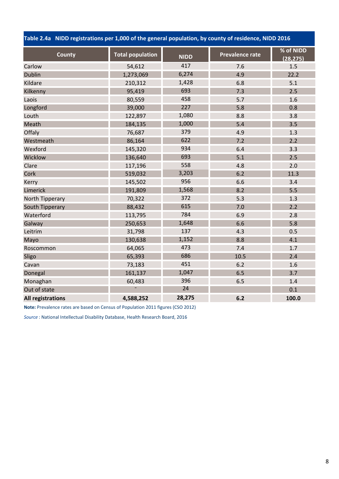Table 2.4a NIDD registrations per 1,000 of the general population, by county of residence, NIDD 2016

| County                   | <b>Total population</b> | <b>NIDD</b> | <b>Prevalence rate</b> | % of NIDD<br>(28, 275) |
|--------------------------|-------------------------|-------------|------------------------|------------------------|
| Carlow                   | 54,612                  | 417         | 7.6                    | 1.5                    |
| <b>Dublin</b>            | 1,273,069               | 6,274       | 4.9                    | 22.2                   |
| Kildare                  | 210,312                 | 1,428       | 6.8                    | 5.1                    |
| Kilkenny                 | 95,419                  | 693         | 7.3                    | 2.5                    |
| Laois                    | 80,559                  | 458         | 5.7                    | 1.6                    |
| Longford                 | 39,000                  | 227         | 5.8                    | 0.8                    |
| Louth                    | 122,897                 | 1,080       | 8.8                    | 3.8                    |
| Meath                    | 184,135                 | 1,000       | 5.4                    | 3.5                    |
| Offaly                   | 76,687                  | 379         | 4.9                    | 1.3                    |
| Westmeath                | 86,164                  | 622         | 7.2                    | 2.2                    |
| Wexford                  | 145,320                 | 934         | 6.4                    | 3.3                    |
| Wicklow                  | 136,640                 | 693         | 5.1                    | 2.5                    |
| Clare                    | 117,196                 | 558         | 4.8                    | 2.0                    |
| Cork                     | 519,032                 | 3,203       | 6.2                    | 11.3                   |
| Kerry                    | 145,502                 | 956         | 6.6                    | 3.4                    |
| Limerick                 | 191,809                 | 1,568       | 8.2                    | 5.5                    |
| North Tipperary          | 70,322                  | 372         | 5.3                    | 1.3                    |
| South Tipperary          | 88,432                  | 615         | 7.0                    | 2.2                    |
| Waterford                | 113,795                 | 784         | 6.9                    | 2.8                    |
| Galway                   | 250,653                 | 1,648       | 6.6                    | 5.8                    |
| Leitrim                  | 31,798                  | 137         | 4.3                    | 0.5                    |
| Mayo                     | 130,638                 | 1,152       | 8.8                    | 4.1                    |
| Roscommon                | 64,065                  | 473         | 7.4                    | 1.7                    |
| Sligo                    | 65,393                  | 686         | 10.5                   | 2.4                    |
| Cavan                    | 73,183                  | 451         | 6.2                    | 1.6                    |
| Donegal                  | 161,137                 | 1,047       | 6.5                    | 3.7                    |
| Monaghan                 | 60,483                  | 396         | 6.5                    | 1.4                    |
| Out of state             |                         | 24          |                        | 0.1                    |
| <b>All registrations</b> | 4,588,252               | 28,275      | 6.2                    | 100.0                  |

Note: Prevalence rates are based on Census of Population 2011 figures (CSO 2012)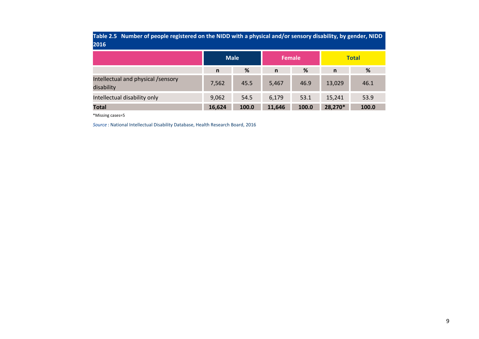| Table 2.5 Number of people registered on the NIDD with a physical and/or sensory disability, by gender, NIDD<br>2016 |              |       |               |       |              |              |  |  |  |  |  |
|----------------------------------------------------------------------------------------------------------------------|--------------|-------|---------------|-------|--------------|--------------|--|--|--|--|--|
|                                                                                                                      | <b>Male</b>  |       | <b>Female</b> |       |              | <b>Total</b> |  |  |  |  |  |
|                                                                                                                      | $\mathsf{n}$ | %     | $\mathbf n$   | %     | $\mathsf{n}$ | %            |  |  |  |  |  |
| Intellectual and physical /sensory<br>disability                                                                     | 7,562        | 45.5  | 5,467         | 46.9  | 13,029       | 46.1         |  |  |  |  |  |
| Intellectual disability only                                                                                         | 9,062        | 54.5  | 6,179         | 53.1  | 15,241       | 53.9         |  |  |  |  |  |
| <b>Total</b>                                                                                                         | 16,624       | 100.0 | 11,646        | 100.0 | 28,270*      | 100.0        |  |  |  |  |  |

\*Missing cases=5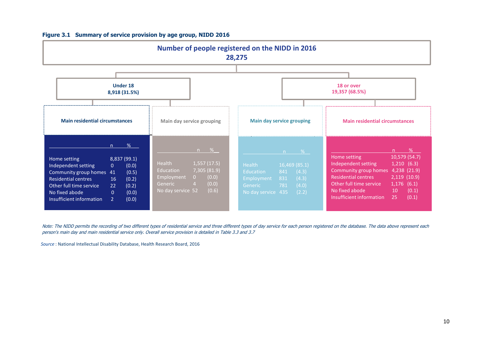

# Figure 3.1 Summary of service provision by age group, NIDD 2016

Note: The NIDD permits the recording of two different types of residential service and three different types of day service for each person registered on the database. The data above represent each person's main day and main residential service only. Overall service provision is detailed in Table 3.3 and 3.7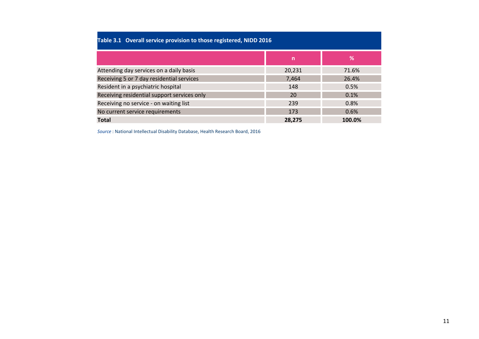| Table 3.1 Overall service provision to those registered, NIDD 2016 |        |        |  |  |  |  |  |  |  |  |  |  |
|--------------------------------------------------------------------|--------|--------|--|--|--|--|--|--|--|--|--|--|
|                                                                    | n      | %      |  |  |  |  |  |  |  |  |  |  |
| Attending day services on a daily basis                            | 20.231 | 71.6%  |  |  |  |  |  |  |  |  |  |  |
| Receiving 5 or 7 day residential services<br>26.4%<br>7.464        |        |        |  |  |  |  |  |  |  |  |  |  |
| Resident in a psychiatric hospital                                 | 148    | 0.5%   |  |  |  |  |  |  |  |  |  |  |
| Receiving residential support services only                        | 20     | 0.1%   |  |  |  |  |  |  |  |  |  |  |
| Receiving no service - on waiting list                             | 239    | 0.8%   |  |  |  |  |  |  |  |  |  |  |
| No current service requirements                                    | 173    | 0.6%   |  |  |  |  |  |  |  |  |  |  |
| <b>Total</b>                                                       | 28.275 | 100.0% |  |  |  |  |  |  |  |  |  |  |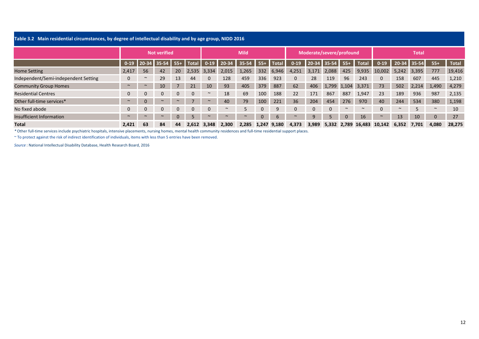| Table 3.2 Main residential circumstances, by degree of intellectual disability and by age group, NIDD 2016 |          |                     |              |              |              |              |             |        |              |              |                          |              |              |              |              |          |         |       |              |              |
|------------------------------------------------------------------------------------------------------------|----------|---------------------|--------------|--------------|--------------|--------------|-------------|--------|--------------|--------------|--------------------------|--------------|--------------|--------------|--------------|----------|---------|-------|--------------|--------------|
|                                                                                                            |          | <b>Not verified</b> |              |              |              |              | <b>Mild</b> |        |              |              | Moderate/severe/profound |              |              |              | <b>Total</b> |          |         |       |              |              |
|                                                                                                            | $0 - 19$ |                     | 20-34 35-54  |              |              | $0 - 19$     |             |        |              | <b>Total</b> | $0 - 19$                 |              | 35-54        |              | <b>Total</b> | $0 - 19$ | $20-34$ | 35-54 | $55+$        | <b>Total</b> |
| Home Setting                                                                                               | 2,417    | 56                  | 42           | 20           | 2,535        | 3,334        | 2,015       | 1,265  | 332          | 6,946        | 4,251                    | 3,171        | 2,088        | 425          | 9,935        | 10.002   | 5,242   | 3,395 | 777          | 19,416       |
| Independent/Semi-independent Setting                                                                       | 0        | $\sim$              | 29           | 13           | 44           | $\Omega$     | 128         | 459    | 336          | 923          | $\Omega$                 | 28           | 119          | 96           | 243          |          | 158     | 607   | 445          | 1,210        |
| <b>Community Group Homes</b>                                                                               | $\sim$   | $\sim$              | 10           |              | 21           | 10           | 93          | 405    | 379          | 887          | 62                       | 406          | 1,799 1,104  |              | 3,371        | 73       | 502     | 2.214 | 1,490        | 4,279        |
| <b>Residential Centres</b>                                                                                 | 0        | $\mathbf{0}$        | $\mathbf{0}$ | $\mathbf{0}$ | $\mathbf{0}$ | $\sim$       | 18          | 69     | 100          | 188          | 22                       | 171          | 867          | 887          | 1,947        | 23       | 189     | 936   | 987          | 2,135        |
| Other full-time services*                                                                                  | $\sim$   | $\mathbf{0}$        | $\sim$       | $\sim$       |              | $\sim$       | 40          | 79     | 100          | 221          | 36                       | 204          | 454          | 276          | 970          | 40       | 244     | 534   | 380          | 1,198        |
| No fixed abode                                                                                             | 0        | $\mathbf{0}$        | $\mathbf 0$  | $\mathbf{0}$ | $\mathbf{0}$ | $\mathbf{0}$ | $\sim$      | 5      | $\mathbf{0}$ | 9            | $\Omega$                 | $\mathbf{0}$ | $\mathbf{0}$ | $\sim$       | $\sim$       |          | $\sim$  | 5     | $\sim$       | 10           |
| Insufficient Information                                                                                   | $\sim$   | $\sim$              | $\sim$       | $\mathbf{0}$ |              | $\sim$       |             | $\sim$ | $\mathbf{0}$ | 6            | $\sim$                   | 9            | 5            | $\mathbf{0}$ | 16           | $\sim$   | 13      | 10    | $\mathbf{0}$ | 27           |
| <b>Total</b>                                                                                               | 2.421    | 63                  | 84           | 44           | 2.612        | 3.348        | 2.300       | 2.285  |              | 1.247 9.180  | 4,373                    | 3,989        | 5,332        | 2.789        | 16.483       | 10,142   | 6,352   | 7.701 | 4,080        | 28,275       |

\* Other full-time services include psychiatric hospitals, intensive placements, nursing homes, mental health community residences and full-time residential support places.

~ To protect against the risk of indirect identification of individuals, items with less than 5 entries have been removed.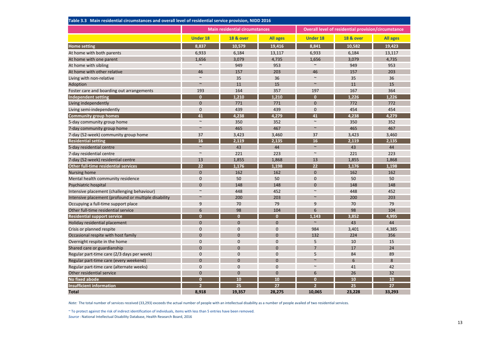| Table 3.3 Main residential circumstances and overall level of residential service provision, NIDD 2016 |                 |                                       |                 |                 |                                                     |                 |  |  |  |  |  |
|--------------------------------------------------------------------------------------------------------|-----------------|---------------------------------------|-----------------|-----------------|-----------------------------------------------------|-----------------|--|--|--|--|--|
|                                                                                                        |                 | <b>Main residential circumstances</b> |                 |                 | Overall level of residential provision/circumstance |                 |  |  |  |  |  |
|                                                                                                        | <b>Under 18</b> | <b>18 &amp; over</b>                  | <b>All ages</b> | <b>Under 18</b> | <b>18 &amp; over</b>                                | <b>All ages</b> |  |  |  |  |  |
| <b>Home setting</b>                                                                                    | 8.837           | 10,579                                | 19,416          | 8.841           | 10,582                                              | 19,423          |  |  |  |  |  |
| At home with both parents                                                                              | 6,933           | 6,184                                 | 13,117          | 6,933           | 6,184                                               | 13,117          |  |  |  |  |  |
| At home with one parent                                                                                | 1.656           | 3,079                                 | 4,735           | 1,656           | 3,079                                               | 4,735           |  |  |  |  |  |
| At home with sibling                                                                                   | $\sim$          | 949                                   | 953             | $\sim$          | 949                                                 | 953             |  |  |  |  |  |
| At home with other relative                                                                            | 46              | 157                                   | 203             | 46              | 157                                                 | 203             |  |  |  |  |  |
| Living with non-relative                                                                               | $\sim$          | 35                                    | 36              | $\sim$          | 35                                                  | 36              |  |  |  |  |  |
| Adoption                                                                                               | $\sim$          | 11                                    | 15              | $\sim$          | 11                                                  | 15              |  |  |  |  |  |
| Foster care and boarding out arrangements                                                              | 193             | 164                                   | 357             | 197             | 167                                                 | 364             |  |  |  |  |  |
| <b>Independent setting</b>                                                                             | $\mathbf{0}$    | 1,210                                 | 1,210           | $\mathbf{0}$    | 1,226                                               | 1,226           |  |  |  |  |  |
| Living independently                                                                                   | $\Omega$        | 771                                   | 771             | $\Omega$        | 772                                                 | 772             |  |  |  |  |  |
| Living semi-independently                                                                              | $\mathbf 0$     | 439                                   | 439             | $\mathbf 0$     | 454                                                 | 454             |  |  |  |  |  |
| <b>Community group homes</b>                                                                           | 41              | 4,238                                 | 4,279           | 41              | 4,238                                               | 4,279           |  |  |  |  |  |
| 5-day community group home                                                                             | $\sim$          | 350                                   | 352             | $\sim$          | 350                                                 | 352             |  |  |  |  |  |
| 7-day community group home                                                                             | $\sim$          | 465                                   | 467             | $\sim$          | 465                                                 | 467             |  |  |  |  |  |
| 7-day (52-week) community group home                                                                   | 37              | 3,423                                 | 3,460           | 37              | 3,423                                               | 3,460           |  |  |  |  |  |
| <b>Residential setting</b>                                                                             | 16              | 2,119                                 | 2,135           | 16              | 2,119                                               | 2,135           |  |  |  |  |  |
| 5-day residential centre                                                                               | $\sim$          | 43                                    | 44              | $\sim$          | 43                                                  | 44              |  |  |  |  |  |
| 7-day residential centre                                                                               | $\sim$          | 221                                   | 223             | $\sim$          | 221                                                 | 223             |  |  |  |  |  |
| 7-day (52-week) residential centre                                                                     | 13              | 1,855                                 | 1,868           | 13              | 1,855                                               | 1,868           |  |  |  |  |  |
| Other full-time residential services                                                                   | 22              | 1,176                                 | 1,198           | 22              | 1.176                                               | 1,198           |  |  |  |  |  |
| Nursing home                                                                                           | $\mathbf{0}$    | 162                                   | 162             | $\mathbf{0}$    | 162                                                 | 162             |  |  |  |  |  |
| Mental health community residence                                                                      | $\mathbf{0}$    | 50                                    | 50              | $\mathbf{0}$    | 50                                                  | 50              |  |  |  |  |  |
| Psychiatric hospital                                                                                   | $\mathbf{0}$    | 148                                   | 148             | $\mathbf{0}$    | 148                                                 | 148             |  |  |  |  |  |
| Intensive placement (challenging behaviour)                                                            | $\sim$          | 448                                   | 452             | $\sim$          | 448                                                 | 452             |  |  |  |  |  |
| Intensive placement (profound or multiple disability                                                   | $\sim$          | 200                                   | 203             | $\sim$          | 200                                                 | 203             |  |  |  |  |  |
| Occupying a full-time support place                                                                    | 9               | 70                                    | 79              | 9               | 70                                                  | 79              |  |  |  |  |  |
| Other full-time residential service                                                                    | 6               | 98                                    | 104             | 6               | 98                                                  | 104             |  |  |  |  |  |
| <b>Residential support service</b>                                                                     | $\mathbf{0}$    | $\mathbf{0}$                          | $\mathbf{0}$    | 1.143           | 3,852                                               | 4,995           |  |  |  |  |  |
| Holiday residential placement                                                                          | $\mathbf{0}$    | $\mathbf{0}$                          | $\mathbf{0}$    | $\sim$          | 43                                                  | 44              |  |  |  |  |  |
| Crisis or planned respite                                                                              | $\mathbf{0}$    | $\mathbf 0$                           | $\mathbf 0$     | 984             | 3,401                                               | 4,385           |  |  |  |  |  |
| Occasional respite with host family                                                                    | $\mathbf{0}$    | $\mathbf{0}$                          | $\mathbf{0}$    | 132             | 224                                                 | 356             |  |  |  |  |  |
| Overnight respite in the home                                                                          | $\mathbf{0}$    | $\mathbf{0}$                          | $\mathbf{0}$    | 5               | 10                                                  | 15              |  |  |  |  |  |
| Shared care or guardianship                                                                            | $\mathbf{0}$    | $\mathbf{0}$                          | $\mathbf 0$     | $\overline{7}$  | 17                                                  | 24              |  |  |  |  |  |
| Regular part-time care (2/3 days per week)                                                             | $\mathbf{0}$    | $\mathbf{0}$                          | $\mathbf{0}$    | 5               | 84                                                  | 89              |  |  |  |  |  |
| Regular part-time care (every weekend)                                                                 | $\Omega$        | $\Omega$                              | $\Omega$        | $\sim$          | 6                                                   | 8               |  |  |  |  |  |
| Regular part-time care (alternate weeks)                                                               | $\mathbf{0}$    | $\mathbf{0}$                          | $\mathbf{0}$    | $\sim$          | 41                                                  | 42              |  |  |  |  |  |
| Other residential service                                                                              | $\Omega$        | $\Omega$                              | $\Omega$        | 6               | 26                                                  | 32              |  |  |  |  |  |
| <b>No fixed abode</b>                                                                                  | $\mathbf{0}$    | 10                                    | 10              | $\mathbf{0}$    | 10                                                  | 10              |  |  |  |  |  |
| <b>Insufficient information</b>                                                                        |                 | 25                                    | 27              |                 | 25                                                  | 27              |  |  |  |  |  |
| <b>Total</b>                                                                                           | 8,918           | 19,357                                | 28,275          | 10,065          | 23,228                                              | 33,293          |  |  |  |  |  |

Note: The total number of services received (33,293) exceeds the actual number of people with an intellectual disability as a number of people availed of two residential services.

Source : National Intellectual Disability Database, Health Research Board, 2016~ To protect against the risk of indirect identification of individuals, items with less than 5 entries have been removed.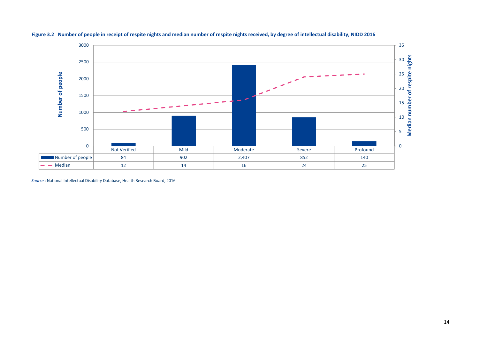

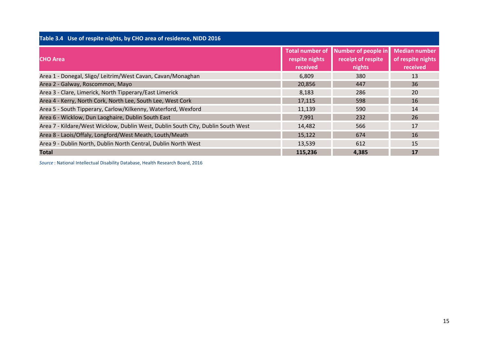| Table 3.4 Use of respite nights, by CHO area of residence, NIDD 2016             |                                                      |                                                     |                                                       |
|----------------------------------------------------------------------------------|------------------------------------------------------|-----------------------------------------------------|-------------------------------------------------------|
| <b>CHO Area</b>                                                                  | <b>Total number of</b><br>respite nights<br>received | Number of people in<br>receipt of respite<br>nights | <b>Median number</b><br>of respite nights<br>received |
| Area 1 - Donegal, Sligo/ Leitrim/West Cavan, Cavan/Monaghan                      | 6,809                                                | 380                                                 | 13                                                    |
| Area 2 - Galway, Roscommon, Mayo                                                 | 20,856                                               | 447                                                 | 36                                                    |
| Area 3 - Clare, Limerick, North Tipperary/East Limerick                          | 8,183                                                | 286                                                 | 20                                                    |
| Area 4 - Kerry, North Cork, North Lee, South Lee, West Cork                      | 17,115                                               | 598                                                 | 16                                                    |
| Area 5 - South Tipperary, Carlow/Kilkenny, Waterford, Wexford                    | 11,139                                               | 590                                                 | 14                                                    |
| Area 6 - Wicklow, Dun Laoghaire, Dublin South East                               | 7,991                                                | 232                                                 | 26                                                    |
| Area 7 - Kildare/West Wicklow, Dublin West, Dublin South City, Dublin South West | 14,482                                               | 566                                                 | 17                                                    |
| Area 8 - Laois/Offaly, Longford/West Meath, Louth/Meath                          | 15,122                                               | 674                                                 | 16                                                    |
| Area 9 - Dublin North, Dublin North Central, Dublin North West                   | 13,539                                               | 612                                                 | 15                                                    |
| Total                                                                            | 115,236                                              | 4,385                                               | 17                                                    |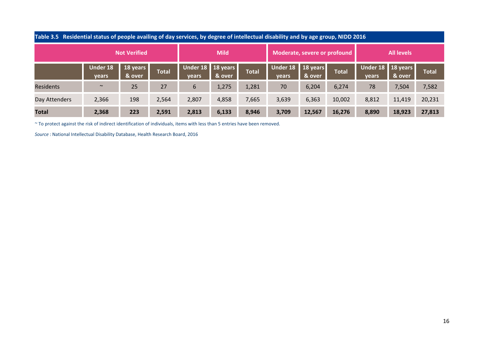| Table 3.5 Residential status of people availing of day services, by degree of intellectual disability and by age group, NIDD 2016 |                   |                     |       |                              |             |              |                              |                              |              |                            |                   |              |
|-----------------------------------------------------------------------------------------------------------------------------------|-------------------|---------------------|-------|------------------------------|-------------|--------------|------------------------------|------------------------------|--------------|----------------------------|-------------------|--------------|
|                                                                                                                                   |                   | <b>Not Verified</b> |       |                              | <b>Mild</b> |              |                              | Moderate, severe or profound |              |                            | <b>All levels</b> |              |
|                                                                                                                                   | Under 18<br>years | 18 years<br>& over  | Total | Under 18   18 years<br>years | & over      | <b>Total</b> | Under 18   18 years<br>years | & over                       | <b>Total</b> | Under 18 18 years<br>years | & over            | <b>Total</b> |
| Residents                                                                                                                         | $\sim$            | 25                  | 27    | 6                            | 1,275       | 1,281        | 70                           | 6,204                        | 6,274        | 78                         | 7,504             | 7,582        |
| Day Attenders                                                                                                                     | 2,366             | 198                 | 2,564 | 2,807                        | 4,858       | 7,665        | 3,639                        | 6,363                        | 10,002       | 8,812                      | 11,419            | 20,231       |
| <b>Total</b>                                                                                                                      | 2,368             | 223                 | 2,591 | 2,813                        | 6,133       | 8,946        | 3,709                        | 12,567                       | 16,276       | 8,890                      | 18,923            | 27,813       |

~ To protect against the risk of indirect identification of individuals, items with less than 5 entries have been removed.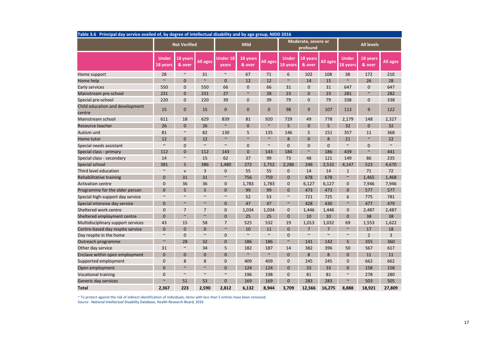| Table 3.6 Principal day service availed of, by degree of intellectual disability and by age group, NIDD 2016 |                          |                     |                 |                          |                    |                 |                          |                                 |          |                          |                    |          |
|--------------------------------------------------------------------------------------------------------------|--------------------------|---------------------|-----------------|--------------------------|--------------------|-----------------|--------------------------|---------------------------------|----------|--------------------------|--------------------|----------|
|                                                                                                              |                          | <b>Not Verified</b> |                 |                          | <b>Mild</b>        |                 |                          | Moderate, severe or<br>profound |          |                          | <b>All levels</b>  |          |
|                                                                                                              | <b>Under</b><br>18 vears | 18 years<br>& over  | <b>All ages</b> | <b>Under 18</b><br>years | 18 years<br>& over | <b>All ages</b> | <b>Under</b><br>18 vears | 18 years<br>& over              | All ages | <b>Under</b><br>18 years | 18 years<br>& over | All ages |
| Home support                                                                                                 | 28                       | $\sim$              | 31              | $\sim$                   | 67                 | 71              | 6                        | 102                             | 108      | 38                       | 172                | 210      |
| Home help                                                                                                    | $\sim$                   | $\Omega$            | $\sim$          | $\mathbf{0}$             | 12                 | 12              | $\sim$                   | 14                              | 15       | $\sim$                   | 26                 | 28       |
| Early services                                                                                               | 550                      | 0                   | 550             | 66                       | $\overline{0}$     | 66              | 31                       | $\mathbf{0}$                    | 31       | 647                      | $\mathbf{0}$       | 647      |
| Mainstream pre-school                                                                                        | 231                      | $\overline{0}$      | 231             | 27                       | $\sim$             | 28              | 23                       | $\overline{0}$                  | 23       | 281                      | $\sim$             | 282      |
| Special pre-school                                                                                           | 220                      | 0                   | 220             | 39                       | $\overline{0}$     | 39              | 79                       | 0                               | 79       | 338                      | $\mathbf{0}$       | 338      |
| Child education and development<br>centre                                                                    | 15                       | $\mathbf 0$         | 15              | $\mathbf 0$              | $\mathbf{0}$       | 0               | 98                       | 9                               | 107      | 113                      | 9                  | 122      |
| Mainstream school                                                                                            | 611                      | 18                  | 629             | 839                      | 81                 | 920             | 729                      | 49                              | 778      | 2,179                    | 148                | 2,327    |
| Resource teacher                                                                                             | 26                       | $\Omega$            | 26              | $\sim$                   | $\Omega$           | $\sim$          | 5                        | $\Omega$                        | 5        | 32                       | $\Omega$           | 32       |
| Autism unit                                                                                                  | 81                       | $\sim$              | 82              | 130                      | 5                  | 135             | 146                      | 5                               | 151      | 357                      | 11                 | 368      |
| Home tutor                                                                                                   | 12                       | $\overline{0}$      | 12              | $\sim$                   | $\sim$             | $\sim$          | 8                        | $\overline{0}$                  | 8        | 21                       | $\sim$             | 22       |
| Special needs assistant                                                                                      | $\sim$                   | 0                   | $\sim$          | $\sim$                   | $\mathbf{0}$       | $\sim$          | $\mathbf 0$              | $\mathbf 0$                     | 0        | $\sim$                   | $\mathbf{0}$       | $\sim$   |
| Special class - primary                                                                                      | 112                      | $\Omega$            | 112             | 143                      | $\Omega$           | 143             | 184                      | $\sim$                          | 186      | 439                      | $\sim$             | 441      |
| Special class - secondary                                                                                    | 14                       | $\sim$              | 15              | 62                       | 37                 | 99              | 73                       | 48                              | 121      | 149                      | 86                 | 235      |
| Special school                                                                                               | 381                      | 5                   | 386             | 1,480                    | 272                | 1,752           | 2,286                    | 246                             | 2,532    | 4,147                    | 523                | 4,670    |
| Third level education                                                                                        | $\sim$                   | $\mathsf{v}$        | 3               | $\mathbf{0}$             | 55                 | 55              | $\mathbf{0}$             | 14                              | 14       | $\mathbf{1}$             | 71                 | 72       |
| Rehabilitative training                                                                                      | $\mathbf{0}$             | 31                  | 31              | $\sim$                   | 756                | 759             | $\Omega$                 | 678                             | 678      | $\sim$                   | 1,465              | 1,468    |
| <b>Activation centre</b>                                                                                     | $\mathbf 0$              | 36                  | 36              | 0                        | 1,783              | 1,783           | $\mathbf 0$              | 6,127                           | 6,127    | $\mathbf 0$              | 7,946              | 7,946    |
| Programme for the older person                                                                               | $\Omega$                 | 5                   | 5               | $\Omega$                 | 99                 | 99              | $\Omega$                 | 473                             | 473      | $\mathbf{0}$             | 577                | 577      |
| Special high-support day service                                                                             | $\sim$                   | $\sim$              | $\sim$          | $\sim$                   | 52                 | 53              | $\sim$                   | 721                             | 725      | 6                        | 775                | 781      |
| Special intensive day service                                                                                | $\mathbf{0}$             | $\sim$              | $\sim$          | $\mathbf 0$              | 47                 | 47              | $\sim$                   | 428                             | 430      | $\sim$                   | 477                | 479      |
| Sheltered work centre                                                                                        | $\mathbf{0}$             | $\overline{7}$      | $\overline{7}$  | $\mathbf{0}$             | 1,034              | 1,034           | $\mathbf{0}$             | 1,446                           | 1,446    | $\mathbf 0$              | 2,487              | 2,487    |
| Sheltered employment centre                                                                                  | $\mathbf{0}$             | $\sim$              | $\sim$          | $\overline{0}$           | 25                 | 25              | $\mathbf{0}$             | 10                              | 10       | $\mathbf{0}$             | 38                 | 38       |
| Multidisciplinary support services                                                                           | 43                       | 15                  | 58              | $\overline{7}$           | 525                | 532             | 19                       | 1,013                           | 1,032    | 69                       | 1,553              | 1,622    |
| Centre-based day respite service                                                                             | $\mathbf{0}$             | $\overline{0}$      | $\overline{0}$  | $\sim$                   | 10                 | 11              | $\mathbf{0}$             | $\overline{7}$                  | 7        | $\sim$                   | 17                 | 18       |
| Day respite in the home                                                                                      | $\sim$                   | $\Omega$            | $\sim$          | $\mathbf{0}$             | $\sim$             | $\sim$          | $\Omega$                 | $\sim$                          | $\sim$   | $\sim$                   | $\overline{2}$     | 3        |
| Outreach programme                                                                                           | $\sim$                   | 28                  | 32              | $\mathbf 0$              | 186                | 186             | $\sim$                   | 141                             | 142      | 5                        | 355                | 360      |
| Other day service                                                                                            | 31                       | $\sim$              | 34              | 5                        | 182                | 187             | 14                       | 382                             | 396      | 50                       | 567                | 617      |
| Enclave within open employment                                                                               | $\mathbf{0}$             | $\overline{0}$      | $\overline{0}$  | $\mathbf 0$              | $\sim$             | $\sim$          | $\mathbf{0}$             | 8                               | 8        | $\mathbf{0}$             | 11                 | 11       |
| Supported employment                                                                                         | $\mathbf 0$              | 8                   | 8               | $\mathbf{0}$             | 409                | 409             | $\mathbf{0}$             | 245                             | 245      | $\mathbf 0$              | 662                | 662      |
| Open employment                                                                                              | $\mathbf{0}$             | $\sim$              | $\sim$          | $\overline{0}$           | 124                | 124             | $\mathbf{0}$             | 33                              | 33       | $\overline{0}$           | 158                | 158      |
| <b>Vocational training</b>                                                                                   | $\mathbf{0}$             | $\sim$              | $\sim$          | $\sim$                   | 196                | 198             | $\mathbf 0$              | 81                              | 81       | $\sim$                   | 278                | 280      |
| Generic day services                                                                                         | $\sim$                   | 51                  | 53              | $\mathbf 0$              | 169                | 169             | 0                        | 283                             | 283      | $\sim$                   | 503                | 505      |
| <b>Total</b>                                                                                                 | 2,367                    | 223                 | 2,590           | 2,812                    | 6,132              | 8,944           | 3,709                    | 12,566                          | 16,275   | 8,888                    | 18,921             | 27,809   |

 $^\thicksim$  To protect against the risk of indirect identification of individuals, items with less than 5 entries have been removed.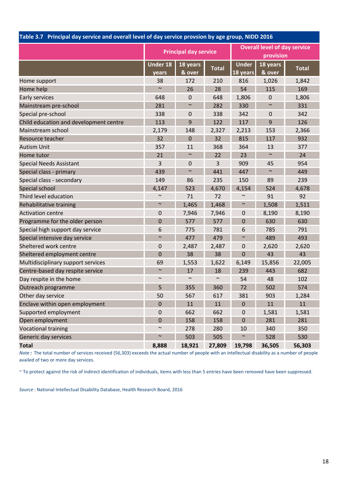| Table 3.7 Principal day service and overall level of day service provsion by age group, NiDD 2016 |                          |                              |              |                          |                                     |              |
|---------------------------------------------------------------------------------------------------|--------------------------|------------------------------|--------------|--------------------------|-------------------------------------|--------------|
|                                                                                                   |                          | <b>Principal day service</b> |              |                          | <b>Overall level of day service</b> |              |
|                                                                                                   |                          |                              |              |                          | provision                           |              |
|                                                                                                   | <b>Under 18</b><br>years | 18 years<br>& over           | <b>Total</b> | <b>Under</b><br>18 years | 18 years<br>& over                  | <b>Total</b> |
| Home support                                                                                      | 38                       | 172                          | 210          | 816                      | 1,026                               | 1,842        |
| Home help                                                                                         | $\sim$                   | 26                           | 28           | 54                       | 115                                 | 169          |
| Early services                                                                                    | 648                      | $\mathbf 0$                  | 648          | 1,806                    | $\mathbf 0$                         | 1,806        |
| Mainstream pre-school                                                                             | 281                      | $\sim$                       | 282          | 330                      | $\sim$                              | 331          |
| Special pre-school                                                                                | 338                      | $\mathbf 0$                  | 338          | 342                      | $\mathbf 0$                         | 342          |
| Child education and development centre                                                            | 113                      | 9                            | 122          | 117                      | 9                                   | 126          |
| Mainstream school                                                                                 | 2,179                    | 148                          | 2,327        | 2,213                    | 153                                 | 2,366        |
| Resource teacher                                                                                  | 32                       | $\mathbf 0$                  | 32           | 815                      | 117                                 | 932          |
| <b>Autism Unit</b>                                                                                | 357                      | 11                           | 368          | 364                      | 13                                  | 377          |
| Home tutor                                                                                        | 21                       | $\sim$                       | 22           | 23                       | $\sim$                              | 24           |
| <b>Special Needs Assistant</b>                                                                    | 3                        | $\mathbf 0$                  | 3            | 909                      | 45                                  | 954          |
| Special class - primary                                                                           | 439                      | $\sim$                       | 441          | 447                      | $\sim$                              | 449          |
| Special class - secondary                                                                         | 149                      | 86                           | 235          | 150                      | 89                                  | 239          |
| Special school                                                                                    | 4,147                    | 523                          | 4,670        | 4,154                    | 524                                 | 4,678        |
| Third level education                                                                             | $\sim$                   | 71                           | 72           | $\sim$                   | 91                                  | 92           |
| Rehabilitative training                                                                           | $\sim$                   | 1,465                        | 1,468        | $\sim$                   | 1,508                               | 1,511        |
| <b>Activation centre</b>                                                                          | 0                        | 7,946                        | 7,946        | $\pmb{0}$                | 8,190                               | 8,190        |
| Programme for the older person                                                                    | $\mathbf 0$              | 577                          | 577          | $\mathbf 0$              | 630                                 | 630          |
| Special high support day service                                                                  | 6                        | 775                          | 781          | 6                        | 785                                 | 791          |
| Special intensive day service                                                                     | $\sim$                   | 477                          | 479          | $\sim$                   | 489                                 | 493          |
| Sheltered work centre                                                                             | 0                        | 2,487                        | 2,487        | $\boldsymbol{0}$         | 2,620                               | 2,620        |
| Sheltered employment centre                                                                       | $\mathbf 0$              | 38                           | 38           | $\overline{0}$           | 43                                  | 43           |
| Multidisciplinary support services                                                                | 69                       | 1,553                        | 1,622        | 6,149                    | 15,856                              | 22,005       |
| Centre-based day respite service                                                                  | $\sim$                   | 17                           | 18           | 239                      | 443                                 | 682          |
| Day respite in the home                                                                           | $\sim$                   | $\sim$                       | $\sim$       | 54                       | 48                                  | 102          |
| Outreach programme                                                                                | 5                        | 355                          | 360          | 72                       | 502                                 | 574          |
| Other day service                                                                                 | 50                       | 567                          | 617          | 381                      | 903                                 | 1,284        |
| Enclave within open employment                                                                    | 0                        | 11                           | 11           | $\mathbf{0}$             | 11                                  | 11           |
| Supported employment                                                                              | $\boldsymbol{0}$         | 662                          | 662          | $\pmb{0}$                | 1,581                               | 1,581        |
| Open employment                                                                                   | $\mathbf 0$              | 158                          | 158          | $\pmb{0}$                | 281                                 | 281          |
| <b>Vocational training</b>                                                                        | $\sim$                   | 278                          | 280          | 10                       | 340                                 | 350          |
| Generic day services                                                                              | $\sim$                   | 503                          | 505          | $\sim$                   | 528                                 | 530          |
| <b>Total</b>                                                                                      | 8,888                    | 18,921                       | 27,809       | 19,798                   | 36,505                              | 56,303       |

## Table 3.7 Principal day service and overall level of day service provsion by age group, NIDD 2016

Note : The total number of services received (56,303) exceeds the actual number of people with an intellectual disability as a number of people availed of two or more day services.

~ To protect against the risk of indirect identification of individuals, items with less than 5 entries have been removed have been suppressed.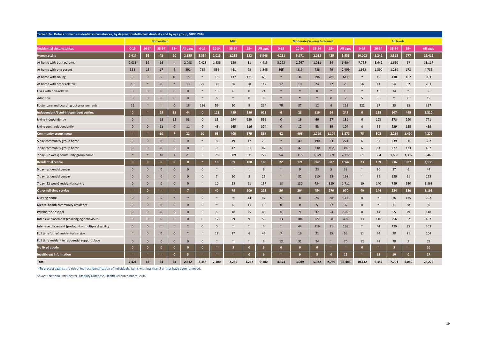| Table 3.7a Details of main residential circumstances, by degree of intellectual disability and by age group, NIDD 2016 |                |                       |                     |                 |              |              |                 |             |              |              |                 |                                 |        |              |                       |              |        |                   |                       |          |
|------------------------------------------------------------------------------------------------------------------------|----------------|-----------------------|---------------------|-----------------|--------------|--------------|-----------------|-------------|--------------|--------------|-----------------|---------------------------------|--------|--------------|-----------------------|--------------|--------|-------------------|-----------------------|----------|
|                                                                                                                        |                |                       | <b>Not verified</b> |                 |              |              |                 | <b>Mild</b> |              |              |                 | <b>Moderate/Severe/Profound</b> |        |              |                       |              |        | <b>All levels</b> |                       |          |
| <b>Residential circumstances</b>                                                                                       | $0 - 19$       | 20-34                 | 35-54               | $55+$           | All ages     | $0 - 19$     | 20-34           | 35-54       | $55+$        | All ages     | $0 - 19$        | 20-34                           | 35-54  | $55+$        | <b>All ages</b>       | $0 - 19$     | 20-34  | 35-54             | $55+$                 | All ages |
| Home setting                                                                                                           | 2,417          | 56                    | 42                  | ${\bf 20}$      | 2,535        | 3,334        | 2,015           | 1,265       | 332          | 6,946        | 4,251           | 3,171                           | 2,088  | 425          | 9,935                 | 10,002       | 5,242  | 3,395             | 777                   | 19,416   |
| At home with both parents                                                                                              | 2,038          | 39                    | 19                  | $\sim$          | 2,098        | 2,428        | 1,336           | 620         | 31           | 4,415        | 3,292           | 2,267                           | 1,011  | 34           | 6,604                 | 7,758        | 3,642  | 1,650             | 67                    | 13,117   |
| At home with one parent                                                                                                | 353            | 15                    | 17                  | $6\phantom{1}6$ | 391          | 735          | 556             | 461         | 93           | 1,845        | 865             | 819                             | 736    | 79           | 2,499                 | 1,953        | 1,390  | 1,214             | 178                   | 4,735    |
| At home with sibling                                                                                                   | $\mathbf{0}$   | $\mathbf{0}$          | 5                   | 10              | 15           | $\sim$       | 15              | 137         | 171          | 326          | $\sim$          | 34                              | 296    | 281          | 612                   | $\sim$       | 49     | 438               | 462                   | 953      |
| At home with other relative                                                                                            | 10             | $\sim$                | $\mathbf{0}$        | $\sim$          | 13           | 29           | 30              | 30          | 28           | 117          | 17              | 10                              | 24     | 22           | 73                    | 56           | 41     | 54                | 52                    | 203      |
| Lives with non-relative                                                                                                | $\mathbf{0}$   | $\mathbf{0}$          | $\mathbf{0}$        | $\pmb{0}$       | $\mathbf{0}$ | $\sim$       | 13              | 6           | $\mathbf 0$  | 21           | $\sim$          | $\sim$                          | 8      | $\sim$       | 15                    | $\sim$       | 15     | 14                | $\sim$                | 36       |
| Adoption                                                                                                               | $\mathbf{0}$   | $\mathbf{0}$          | $\mathbf{0}$        | $\bf{0}$        | $\bf{0}$     | $\sim$       | 6               | $\sim$      | $\mathbf 0$  | 8            | $\sim$          | $\sim$                          | $\sim$ | $\pmb{0}$    | $7\overline{ }$       | 5            | 8      | $\sim$            | $\mathbf 0$           | 15       |
| Foster care and boarding out arrangements                                                                              | 16             | $\sim$                | $\sim$              | $\mathbf{0}$    | 18           | 136          | 59              | 10          | 9            | 214          | 70              | 37                              | 12     | 6            | 125                   | 222          | 97     | 23                | 15                    | 357      |
| Independent/Semi-independent setting                                                                                   | - 0            | $\tilde{\phantom{a}}$ | 29                  | 13              | 44           | $\mathbf{0}$ | 128             | 459         | 336          | 923          | $\mathbf{0}$    | 28                              | 119    | 96           | 243                   | $\mathbf{0}$ | 158    | 607               | 445                   | 1,210    |
| Living independently                                                                                                   | $\overline{0}$ | $\sim$                | 18                  | 13              | 33           | $\mathbf 0$  | 85              | 294         | 220          | 599          | $\mathbf 0$     | 16                              | 66     | 57           | 139                   | $\mathbf 0$  | 103    | 378               | 290                   | 771      |
| Living semi-independently                                                                                              | $\mathbf{0}$   | $\mathbf{0}$          | 11                  | $\pmb{0}$       | 11           | $\mathbf 0$  | 43              | 165         | 116          | 324          | $\mathbf 0$     | 12                              | 53     | 39           | 104                   | $\mathbf 0$  | 55     | 229               | 155                   | 439      |
| Community group home                                                                                                   | $\sim$         | $\sim$                | 10                  | $\overline{7}$  | 21           | 10           | 93              | 405         | 379          | 887          | 62              | 406                             | 1,799  | 1,104        | 3,371                 | 73           | 502    | 2,214             | 1,490                 | 4,279    |
| 5 day community group home                                                                                             | $\mathbf{0}$   | $\mathbf{0}$          | $\mathbf{0}$        | $\mathbf{0}$    | $\mathbf{0}$ | $\sim$       | 8               | 49          | 17           | 78           | $\sim$          | 49                              | 190    | 33           | 274                   | 6            | 57     | 239               | 50                    | 352      |
| 7 day community group home                                                                                             | $\mathbf{0}$   | $\mathbf 0$           | $\mathbf{0}$        | $\mathbf 0$     | $\mathbf{0}$ | $\mathbf 0$  | 9               | 47          | 31           | 87           | $6\overline{6}$ | 42                              | 230    | 102          | 380                   | 6            | 51     | 277               | 133                   | 467      |
| 7 day (52 week) community group home                                                                                   |                | $\sim$                | 10                  | $\overline{7}$  | 21           | 6            | 76              | 309         | 331          | 722          | 54              | 315                             | 1,379  | 969          | 2,717                 | 61           | 394    | 1,698             | 1,307                 | 3,460    |
| <b>Residential centre</b>                                                                                              | $\mathbf{0}$   | $\bullet$             | $\mathbf{0}$        | $\mathbf{0}$    | $\Omega$     | $\sim$       | 18              | 69          | 100          | 188          | 22              | 171                             | 867    | 887          | 1,947                 | 23           | 189    | 936               | 987                   | 2,135    |
| 5 day residential centre                                                                                               | $\overline{0}$ | $\mathbf{0}$          | $\mathbf{0}$        | $\pmb{0}$       | $\mathbf{0}$ | $\mathbf 0$  | $\sim$          | $\sim$      | $\sim$       | 6            | $\sim$          | 9                               | 23     | 5            | 38                    | $\sim$       | 10     | 27                | $6\phantom{1}6$       | 44       |
| 7 day residential centre                                                                                               | $\mathbf{0}$   | $\mathbf{0}$          | $\mathbf{0}$        | $\mathbf{0}$    | $\mathbf{0}$ | $\mathbf 0$  | $7\overline{ }$ | 10          | 8            | 25           | $\sim$          | 32                              | 110    | 53           | 198                   | $\sim$       | 39     | 120               | 61                    | 223      |
| 7 day (52 week) residential centre                                                                                     | $\mathbf{0}$   | $\mathbf 0$           | $\mathbf{0}$        | $\mathbf 0$     | $\mathbf{0}$ | $\sim$       | 10              | 55          | 91           | 157          | 18              | 130                             | 734    | 829          | 1,711                 | 19           | 140    | 789               | 920                   | 1,868    |
| Other full-time service                                                                                                | $\sim$         | $\mathbf{0}$          | $\sim$              | $\sim$          |              | $\sim$       | 40              | 79          | 100          | 221          | 36              | 204                             | 454    | 276          | 970                   | 40           | 244    | 534               | 380                   | 1,198    |
| Nursing home                                                                                                           | $\mathbf{0}$   | $\mathbf 0$           | $\mathbf{0}$        | $\sim$          | $\sim$       | $\mathbf{0}$ | $\sim$          | $\sim$      | 44           | 47           | $\mathbf 0$     | $\mathbf 0$                     | 24     | 88           | 112                   | $\mathbf{0}$ | $\sim$ | 26                | 135                   | 162      |
| Mental health community residence                                                                                      | $\overline{0}$ | $\mathbf 0$           | $\mathbf{0}$        | $\bf{0}$        | $\mathbf 0$  | $\mathbf 0$  | $\sim$          | 6           | 11           | 18           | $\mathbf{0}$    | $\mathbf{0}$                    | 5      | 27           | 32                    | $\mathbf{0}$ | $\sim$ | 11                | 38                    | 50       |
| Psychiatric hospital                                                                                                   | $\mathbf{0}$   | $\mathbf{0}$          | $\mathbf 0$         | $\mathbf{0}$    | $\mathbf 0$  | $\mathbf 0$  | 5               | 18          | 25           | 48           | $\mathbf{0}$    | 9                               | 37     | 54           | 100                   | $\mathbf 0$  | 14     | 55                | 79                    | 148      |
| Intensive placement (challenging behaviour)                                                                            | $\Omega$       | $\mathbf{0}$          | $\mathbf{0}$        | $\mathbf{0}$    | $\mathbf{0}$ | $\mathbf 0$  | 12              | 29          | 9            | 50           | 13              | 104                             | 227    | 58           | 402                   | 13           | 116    | 256               | 67                    | 452      |
| Intensive placement (profound or multiple disability                                                                   | $\overline{0}$ | $\bf{0}$              | $\sim$              | $\sim$          | $\sim$       | $\mathbf 0$  | $\mathbf 0$     | $\sim$      | $\sim$       | 6            | $\sim$          | 44                              | 116    | 31           | 195                   | $\sim$       | 44     | 120               | 35                    | 203      |
| Full time 'other' residential service                                                                                  | $\sim$         | $\mathbf{0}$          | $\mathbf{0}$        | $\mathbf{0}$    | $\sim$       | $\sim$       | 18              | 17          | 6            | 43           | $\overline{7}$  | 16                              | 21     | 15           | 59                    | 11           | 34     | 38                | 21                    | 104      |
| Full time resident in residential support place                                                                        | $\Omega$       | $\mathbf 0$           | $\mathbf{0}$        | $\mathbf{0}$    | $\Omega$     | $\Omega$     | $\sim$          | $\sim$      | $\sim$       | $\mathbf{q}$ | 12              | 31                              | 24     | $\sim$       | 70                    | 12           | 34     | 28                | 5                     | 79       |
| No fixed abode                                                                                                         | $\mathbf{0}$   | $\mathbf{0}$          | $\mathbf{0}$        | $\Omega$        | $\mathbf{0}$ | $\mathbf{0}$ |                 | 5           | $\mathbf 0$  | 9            | $\mathbf{0}$    | $\mathbf{0}$                    | о      | $\sim$       | $\tilde{\phantom{a}}$ | $\mathbf{0}$ |        | 5                 | $\tilde{\phantom{a}}$ | 10       |
| <b>Insufficient information</b>                                                                                        |                | ×                     | $\sim$              | $\Omega$        | 5            | ×            |                 | $\sim$      | $\mathbf{0}$ |              |                 | 9                               | 5      | $\mathbf{0}$ | 16                    | $\sim$       | 13     | 10                | $\mathbf{0}$          | 27       |
| <b>Total</b>                                                                                                           | 2,421          | 63                    | 84                  | 44              | 2,612        | 3,348        | 2,300           | 2,285       | 1,247        | 9,180        | 4,373           | 3,989                           | 5,332  | 2,789        | 16,483                | 10,142       | 6,352  | 7,701             | 4,080                 | 28,275   |

~ To protect against the risk of indirect identification of individuals, items with less than 5 entries have been removed.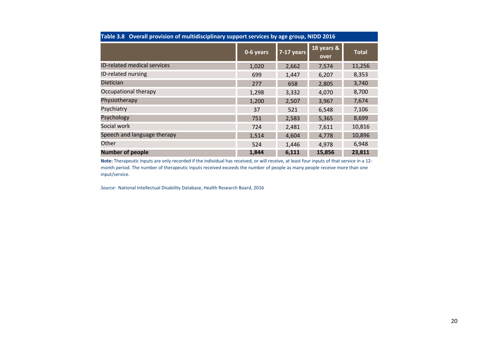| Table 3.8 Overall provision of multidisciplinary support services by age group, NIDD 2016 |           |              |                    |              |
|-------------------------------------------------------------------------------------------|-----------|--------------|--------------------|--------------|
|                                                                                           | 0-6 years | $7-17$ years | 18 years &<br>over | <b>Total</b> |
| <b>ID-related medical services</b>                                                        | 1,020     | 2,662        | 7,574              | 11,256       |
| ID-related nursing                                                                        | 699       | 1,447        | 6,207              | 8,353        |
| <b>Dietician</b>                                                                          | 277       | 658          | 2,805              | 3,740        |
| Occupational therapy                                                                      | 1,298     | 3,332        | 4,070              | 8,700        |
| Physiotherapy                                                                             | 1,200     | 2,507        | 3,967              | 7,674        |
| Psychiatry                                                                                | 37        | 521          | 6,548              | 7,106        |
| <b>Psychology</b>                                                                         | 751       | 2,583        | 5,365              | 8,699        |
| Social work                                                                               | 724       | 2,481        | 7,611              | 10,816       |
| Speech and language therapy                                                               | 1,514     | 4,604        | 4,778              | 10,896       |
| Other                                                                                     | 524       | 1,446        | 4,978              | 6,948        |
| <b>Number of people</b>                                                                   | 1,844     | 6,111        | 15,856             | 23,811       |

Note: Therapeutic inputs are only recorded if the individual has received, or will receive, at least four inputs of that service in a 12month period. The number of therapeutic inputs received exceeds the number of people as many people receive more than one input/service.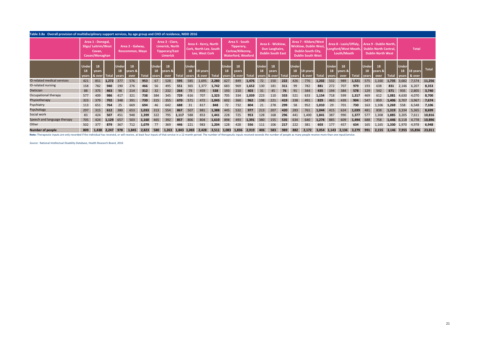| Table 3.8a Overall provision of multidisciplinary support services, by age group and CHO of residence, NIDD 2016                                                                                                              |                             |                                                                      |       |                             |                                     |              |                |                                                                                |       |                      |                                                                          |       |                      |                                                                               |       |                       |                                                                 |     |                             |                                                                                                                |       |                       |                                                               |       |                             |                                                                                    |       |                      |                    |        |
|-------------------------------------------------------------------------------------------------------------------------------------------------------------------------------------------------------------------------------|-----------------------------|----------------------------------------------------------------------|-------|-----------------------------|-------------------------------------|--------------|----------------|--------------------------------------------------------------------------------|-------|----------------------|--------------------------------------------------------------------------|-------|----------------------|-------------------------------------------------------------------------------|-------|-----------------------|-----------------------------------------------------------------|-----|-----------------------------|----------------------------------------------------------------------------------------------------------------|-------|-----------------------|---------------------------------------------------------------|-------|-----------------------------|------------------------------------------------------------------------------------|-------|----------------------|--------------------|--------|
|                                                                                                                                                                                                                               |                             | Area 1 - Donegal,<br>Sligo/ Leitrim/West<br>Cavan,<br>Cavan/Monaghan |       |                             | Area 2 - Galway,<br>Roscommon, Mayo |              |                | Area 3 - Clare,<br><b>Limerick, North</b><br><b>Tipperary/East</b><br>Limerick |       |                      | Area 4 - Kerry, North<br><b>Cork, North Lee, South</b><br>Lee, West Cork |       |                      | Area 5 - South<br>Tipperary,<br>Carlow/Kilkenny,<br><b>Waterford, Wexford</b> |       |                       | Area 6 - Wicklow,<br>Dun Laoghaire,<br><b>Dublin South East</b> |     |                             | Area 7 - Kildare/West<br><b>Wicklow, Dublin West,</b><br><b>Dublin South City,</b><br><b>Dublin South West</b> |       |                       | Area 8 - Laois/Offaly,<br>Longford/West Meath,<br>Louth/Meath |       |                             | Area 9 - Dublin North.<br><b>Dublin North Central.</b><br><b>Dublin North West</b> |       |                      | Total              |        |
|                                                                                                                                                                                                                               | <b>Under</b><br>18<br>years | 18<br>years<br>& over                                                | Total | <b>Under</b><br>18<br>vears | 18<br>years &<br>over               | <b>Total</b> | Under<br>vears | 18<br>18 years &<br>over                                                       |       | Under<br>18<br>vears | 18 years                                                                 | Total | Under<br>18<br>vears | 18<br>years<br>& over                                                         |       | <b>Under</b><br>vears | 18<br>years                                                     |     | <b>Under</b><br>18<br>vears | 18 years<br>& over                                                                                             | Total | <b>Under</b><br>vears | 18<br>years &<br>over                                         |       | <b>Under</b><br>18<br>vears | 18<br>years &<br>over                                                              |       | Under<br>18<br>vears | 18 years<br>& over | Total  |
| ID-related medical services                                                                                                                                                                                                   | 421                         | 851                                                                  | 1.272 | 377                         | 576                                 | 953          | 67             | 528                                                                            | 595   | 585                  | 1.695                                                                    | 2.280 | 627                  | 849                                                                           | 1.476 | 72                    | 150                                                             | 222 | 426                         | 776                                                                                                            | 1.202 | 532                   | 989                                                           | 1.521 | 575                         | 1.160                                                                              | 1.735 | 3.682                | 7.574              | 11,256 |
| ID-related nursing                                                                                                                                                                                                            | 158                         | 782                                                                  | 940   | 190                         | 276                                 | 466          | 56             |                                                                                | 551   | 365                  | 1.377                                                                    | 1,742 | 683                  | 969                                                                           | 1,652 | 130                   | 181                                                             | 311 | 99                          | 782                                                                                                            | 881   | 272                   | 707                                                           | 979   | 193                         | 638                                                                                | 831   | 2,146                | 6,207              | 8,353  |
| Dietician                                                                                                                                                                                                                     | 88                          | 375                                                                  | 463   | 98                          | 214                                 | 312          |                | 232                                                                            | 264   | 79                   | 459                                                                      | 538   | 193                  | 210                                                                           | 403   | 31                    | 45                                                              | 76  | 91                          | 344                                                                                                            | 435   | 194                   | 384                                                           | 578   | 129                         | 542                                                                                | 671   | 935                  | 2,805              | 3,740  |
| Occupational therapy                                                                                                                                                                                                          | 577                         | 409                                                                  | 986   | 417                         | 321                                 | 738          | 384            | 345                                                                            | 729   | 616                  | 707                                                                      | 1,323 | 705                  | 334                                                                           | 1,039 | 223                   | 110                                                             | 333 | 521                         | 633                                                                                                            | 1,154 | 718                   | 599                                                           | 1,317 | 469                         | 612                                                                                | 1,081 | 4,630                | 4.070              | 8,700  |
| Physiotherapy                                                                                                                                                                                                                 | 323                         | 379                                                                  | 702   | 348                         | 391                                 | 739          |                |                                                                                | 670   | 571                  | 472                                                                      | 1.043 | 602                  | 360                                                                           | 962   | 198                   | 221                                                             | 419 | 338                         | 491                                                                                                            | 829   |                       | 439                                                           | 904   | 547                         | 859                                                                                | 1.406 | 3.707                | 3.967              | 7,674  |
| Psychiatry                                                                                                                                                                                                                    | 113                         | 651                                                                  | 764   | 25                          | 669                                 | 694          |                | 642                                                                            | 688   | 31                   | 817                                                                      | 848   | 72                   | 732                                                                           | 804   | 21                    | 278                                                             | 299 | 58                          | 952                                                                                                            | 1,010 | 29                    | 701                                                           | 730   | 163                         | 1.106                                                                              | 1,269 | 558                  | 6,548              | 7,106  |
| Psychology                                                                                                                                                                                                                    | 297                         | 315                                                                  | 612   | 380                         | 653                                 | 1,033        | 313            | 554                                                                            | 867   | 507                  | 881                                                                      | 1,388 | 445                  | 532                                                                           | 977   | 213                   | 207                                                             | 420 | 283                         | 761                                                                                                            | 1.044 | 415                   | 624                                                           | 1,039 | 481                         | 838                                                                                | 1,319 | 3,334                | 5,365              | 8,699  |
| Social work                                                                                                                                                                                                                   | 83                          | 424                                                                  | 507   | 451                         | 948                                 | 1.399        | 322            | 795                                                                            | 1.117 | 588                  | 853                                                                      | 1.441 | 228                  | 725                                                                           | 953   | 128                   | 168                                                             | 296 | 441                         | 1.400                                                                                                          | 1.841 | 387                   | 990                                                           | 1.377 | 577                         | 1.308                                                                              | 1,885 | 3,205                | 7,611              | 10,816 |
| Speech and language therapy                                                                                                                                                                                                   | 705                         | 424                                                                  | .129  | 657                         | 503                                 | 1.160        |                |                                                                                | 857   |                      | 804                                                                      | 1.610 | 898                  | 493                                                                           | 1.391 | 380                   | 155                                                             | 535 | 634                         | 640                                                                                                            |       | 885                   | 609                                                           | 1.494 | 688                         | 758                                                                                | 1.446 | 6.118                | 4.778              | 10,896 |
| Other                                                                                                                                                                                                                         | 502                         | 377                                                                  | 879   | 367                         | 712                                 | 1,079        |                | 369                                                                            | 446   | 221                  | 983                                                                      | 1,204 | 128                  | 428                                                                           | 556   | 111                   | 106                                                             | 217 | 222                         | 381                                                                                                            | 603   | 177                   | 457                                                           | 634   | 165                         | 1,165                                                                              | 1,330 | 1,970                | 4,978              | 6,948  |
| <b>Number of people</b>                                                                                                                                                                                                       | 809                         | 1.438                                                                | 2.247 | 978                         | 1.845                               | 2.823        | 580            | 1.263                                                                          |       | 1.843 1.083          | 2.428                                                                    | 3,511 | 1,083                | 1,836                                                                         | 2,919 | 406                   | 583                                                             | 989 | 882                         | 2.172                                                                                                          | 3.054 | 1.143                 | 2.136                                                         | 3,279 | 991                         | 2,155                                                                              | 3,146 | 7,955                | 15,856             | 23,811 |
| Note: Therapeutic inputs are only recorded if the individual has received, or will receive, at least four inputs of that service in a 12-month period. The number of therapeutic inputs received exceeds the number of people |                             |                                                                      |       |                             |                                     |              |                |                                                                                |       |                      |                                                                          |       |                      |                                                                               |       |                       |                                                                 |     |                             |                                                                                                                |       |                       |                                                               |       |                             |                                                                                    |       |                      |                    |        |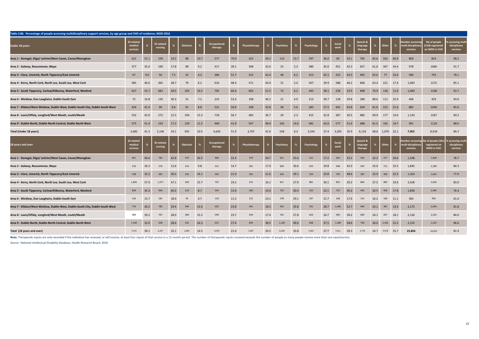| Table 3.8b Percentage of people accessing multidisciplinary support services, by age group and CHO of residence, NIDD 2016 |                                          |               |                       |      |                  |      |                         |      |                      |      |            |      |            |      |                |      |                                 |      |            |      |                                                 |                                                    |                                                        |
|----------------------------------------------------------------------------------------------------------------------------|------------------------------------------|---------------|-----------------------|------|------------------|------|-------------------------|------|----------------------|------|------------|------|------------|------|----------------|------|---------------------------------|------|------------|------|-------------------------------------------------|----------------------------------------------------|--------------------------------------------------------|
| Under 18 years                                                                                                             | <b>ID-related</b><br>medical<br>services | $\frac{9}{4}$ | D-related<br>nursing  |      | <b>Dietician</b> |      | Occupational<br>therapy |      | Physiotherapy        | %    | Psychiatry | %    | Psychology |      | Social<br>work |      | Speech &<br>language<br>therapy | %    | Other      | %    | umber accessi<br>ulti-disciplina<br>services    | No of people<br>(U18) registered<br>on NIDD in CHO | accessing mul-<br>disciplinary<br>services             |
| Area 1 - Donegal, Sligo/ Leitrim/West Cavan, Cavan/Monaghan                                                                | 421                                      | 51.1          | 158                   | 19.2 | 88               | 10.7 | 577                     | 70.0 | 323                  | 39.2 | 113        | 13.7 | 297        | 36.0 | 83             | 10.1 | 705                             | 85.6 | 502        | 60.9 | 809                                             | 824                                                | 98.2                                                   |
| Area 2 - Galway, Roscommon, Mayo                                                                                           | 377                                      | 35.4          | 190                   | 17.8 | 98               | 9.2  | 417                     | 39.1 | 348                  | 32.6 | 25         | 2.3  | 380        | 35.6 | 451            | 42.3 | 657                             | 61.6 | 367        | 34.4 | 978                                             | 1066                                               | 91.7                                                   |
| Area 3 - Clare, Limerick, North Tipperary/East Limerick                                                                    | 67                                       | 9.0           | 56                    | 7.5  | 32               | 4.3  | 384                     | 51.7 | 315                  | 42.4 | 46         | 6.2  | 313        | 42.1 | 322            | 43.3 | 465                             | 62.6 | 77         | 10.4 | 580                                             | 743                                                | 78.1                                                   |
| Area 4 - Kerry, North Cork, North Lee, South Lee, West Cork                                                                | 585                                      | 46.0          | 365                   | 28.7 | 79               | 6.2  | 616                     | 48.4 | 571                  | 44.9 | 31         | 2.4  | 507        | 39.9 | 588            | 46.2 | 806                             | 63.4 | 221        | 17.4 | 1,083                                           | 1272                                               | 85.1                                                   |
| Area 5 - South Tipperary, Carlow/Kilkenny, Waterford, Wexford                                                              | 627                                      | 53.7          | 683                   | 58.5 | 193              | 16.5 | 705                     | 60.4 | 602                  | 51.5 | 72         | 6.2  | 445        | 38.1 | 228            | 19.5 | 898                             | 76.9 | 128        | 11.0 | 1,083                                           | 1168                                               | 92.7                                                   |
| Area 6 - Wicklow, Dun Laoghaire, Dublin South East                                                                         | 72                                       | 16.8          | 130                   | 30.3 | 31               | 7.2  | 223                     | 52.0 | 198                  | 46.2 | 21         | 4.9  | 213        | 49.7 | 128            | 29.8 | 380                             | 88.6 | 111        | 25.9 | 406                                             | 429                                                | 94.6                                                   |
| Area 7 - Kildare/West Wicklow, Dublin West, Dublin South City, Dublin South West                                           | 426                                      | 41.4          | 99                    | 9.6  | 91               | 8.8  | 521                     | 50.6 | 338                  | 32.8 | 58         | 5.6  | 283        | 27.5 | 441            | 42.8 | 634                             | 61.6 | 222        | 21.6 | 882                                             | 1030                                               | 85.6                                                   |
| Area 8 - Laois/Offaly, Longford/West Meath, Louth/Meath                                                                    | 532                                      | 42.0          | 272                   | 21.5 | 194              | 15.3 | 718                     | 56.7 | 465                  | 36.7 | 29         | 2.3  | 415        | 32.8 | 387            | 30.5 | 885                             | 69.9 | 177        | 14.0 | 1,143                                           | 1267                                               | 90.2                                                   |
| Area 9 - Dublin North, Dublin North Central, Dublin North West                                                             | 575                                      | 51.4          | 193                   | 17.2 | 129              | 11.5 | 469                     | 41.9 | 547                  | 48.9 | 163        | 14.6 | 481        | 43.0 | 577            | 51.6 | 688                             | 61.5 | 165        | 14.7 | 991                                             | 1119                                               | 88.6                                                   |
| Total (Under 18 years)                                                                                                     | 3,682                                    | 41.3          | 2,146                 | 24.1 | 935              | 10.5 | 4,630                   | 51.9 | 3,707                | 41.6 | 558        | 6.3  | 3,334      | 37.4 | 3,205          | 35.9 | 6,118                           | 68.6 | 1,970 22.1 |      | 7,955                                           | 8,918                                              | 89.2                                                   |
| 18 years and over                                                                                                          | <b>ID-related</b><br>medical<br>services |               | ID-related<br>nursing |      | <b>Dietician</b> |      | Occupational<br>therapy | %    | <b>Physiotherapy</b> | %    | Psychiatry | %    | Psychology |      | Social<br>work | %    | Speech 8<br>language<br>therapy |      | Other      | %    | mber accessing<br>nulti-disciplinaı<br>services | Io of people (18+<br>registered on<br>NIDD in CHO  | accessing mul <sup>.</sup><br>disciplinary<br>services |
| Area 1 - Donegal, Sligo/ Leitrim/West Cavan, Cavan/Monaghan                                                                | 851                                      | 46.6          | 782                   | 42.8 | 375              | 20.5 | 409                     | 22.4 | 379                  | 20.7 | 651        | 35.6 | 315        | 17.2 | 424            | 23.2 | 424                             | 23.2 | 377        | 20.6 | 1,438                                           | 1,828                                              | 78.7                                                   |
| Area 2 - Galway, Roscommon, Mayo                                                                                           | 576                                      | 26.3          | 276                   | 12.6 | 214              | 9.8  | 321                     | 14.7 | 391                  | 17.9 | 669        | 30.6 | 653        | 29.8 | 948            | 43.3 | 503                             | 23.0 | 712        | 32.5 | 1,845                                           | 2,189                                              | 84.3                                                   |
| Area 3 - Clare, Limerick, North Tipperary/East Limerick                                                                    | 528                                      | 32.2          | 495                   | 30.2 | 232              | 14.1 | 345                     | 21.0 | 355                  | 21.6 | 642        | 39.1 | 554        | 33.8 | 795            | 48.4 | 392                             | 23.9 | 369        | 22.5 | 1,263                                           | 1,641                                              | 77.0                                                   |
| Area 4 - Kerry, North Cork, North Lee, South Lee, West Cork                                                                | 1,695                                    | 57.9          | 1,377                 | 47.1 | 459              | 15.7 | 707                     | 24.2 | 472                  | 16.1 | 817        | 27.9 | 881        | 30.1 | 853            | 29.2 | 804                             | 27.5 | 983        | 33.6 | 2,428                                           | 2,926                                              | 83.0                                                   |
| Area 5 - South Tipperary, Carlow/Kilkenny, Waterford, Wexford                                                              | 849                                      | 35.3          | 969                   | 40.3 | 210              | 8.7  | 334                     | 13.9 | 360                  | 15.0 | 732        | 30.4 | 532        | 22.1 | 725            | 30.2 | 493                             | 20.5 | 428        | 17.8 | 1,836                                           | 2,404                                              | 76.4                                                   |
| Area 6 - Wicklow, Dun Laoghaire, Dublin South East                                                                         | 150                                      | 15.7          | 181                   | 18.9 | 45               | 4.7  | 110                     | 11.5 | 221                  | 23.1 | 278        | 29.1 | 207        | 21.7 | 168            | 17.6 | 155                             | 16.2 | 106        | 11.1 | 583                                             | 956                                                | 61.0                                                   |
| Area 7 - Kildare/West Wicklow, Dublin West, Dublin South City, Dublin South West                                           | 776                                      | 29.2          | 782                   | 29.4 | 344              | 13.0 | 633                     | 23.8 | 491                  | 18.5 | 952        | 35.8 | 761        | 28.7 | 1,400          | 52.7 | 640                             | 24.1 | 381        | 14.3 | 2,172                                           | 2,656                                              | 81.8                                                   |
| Area 8 - Laois/Offaly, Longford/West Meath, Louth/Meath                                                                    | 989                                      | 39.2          | 707                   | 28.0 | 384              | 15.2 | 599                     | 23.7 | 439                  | 17.4 | 701        | 27.8 | 624        | 24.7 | 990            | 39.2 | 609                             | 24.1 | 457        | 18.1 | 2,136                                           | 2,525                                              | 84.6                                                   |
| Area 9 - Dublin North, Dublin North Central, Dublin North West                                                             | 1,160                                    | 52.0          | 638                   | 28.6 | 542              | 24.3 | 612                     | 27.4 | 859                  | 38.5 | 1,106      | 49.6 | 838        | 37.5 | 1,308          | 58.6 | 758                             | 34.0 | 1,165      | 52.2 | 2,155                                           | 2,232                                              | 96.6                                                   |
| Total (18 years and over)                                                                                                  | 7,574                                    | 39.1          | 6,207                 | 32.1 | 2,805            | 14.5 | 4,070                   | 21.0 | 3,967                | 20.5 | 6,548      | 33.8 | 5,365      | 27.7 | 7,611          | 39.3 | 4,778                           | 24.7 | 4,978      | 25.7 | 15,856                                          | 19,357                                             | 81.9                                                   |

Note: Therapeutic inputs are only recorded if the individual has received, or will receive, at least four inputs of that service in a 12-month period. The number of therapeutic inputs received oxceeds the number of people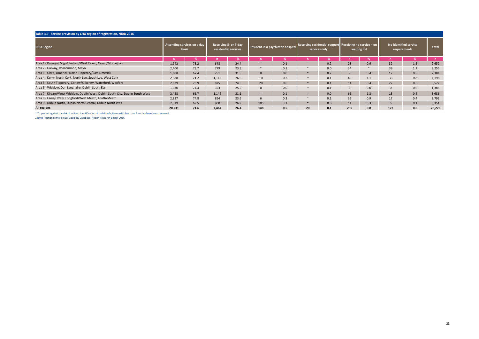| Table 3.9 Service provision by CHO region of registration, NIDD 2016             |                                             |      |                                               |      |              |                                    |        |                                                                            |              |        |                 |                                       |              |
|----------------------------------------------------------------------------------|---------------------------------------------|------|-----------------------------------------------|------|--------------|------------------------------------|--------|----------------------------------------------------------------------------|--------------|--------|-----------------|---------------------------------------|--------------|
| <b>CHO Region</b>                                                                | Attending services on a day<br><b>basis</b> |      | Receiving 5- or 7-day<br>residential services |      |              | Resident in a psychiatric hospital |        | Receiving residential support Receiving no service $-$ on<br>services only | waiting list |        |                 | No identified service<br>requirements | <b>Total</b> |
|                                                                                  |                                             |      |                                               |      |              |                                    |        |                                                                            |              |        |                 |                                       |              |
| Area 1 - Donegal, Sligo/ Leitrim/West Cavan, Cavan/Monaghan                      | 1,942                                       | 73.2 | 648                                           | 24.4 | $\sim$       | 0.1                                |        | 0.2                                                                        | 23           | 0.9    | 32              | 1.2                                   | 2,652        |
| Area 2 - Galway, Roscommon, Mayo                                                 | 2,400                                       | 73.7 | 779                                           | 23.9 | $\sim$       | 0.1                                | $\sim$ | 0.0                                                                        | 34           | $\sim$ | 39              | 1.2                                   | 3,255        |
| Area 3 - Clare, Limerick, North Tipperary/East Limerick                          | 1,608                                       | 67.4 | 751                                           | 31.5 | $\mathbf{0}$ | 0.0                                |        | 0.2                                                                        | 9            | 0.4    | 12 <sup>2</sup> | 0.5                                   | 2,384        |
| Area 4 - Kerry, North Cork, North Lee, South Lee, West Cork                      | 2.988                                       | 71.2 | 1,118                                         | 26.6 | 10           | 0.2                                | $\sim$ | 0.1                                                                        | 46           | 1.1    | 33              | 0.8                                   | 4,198        |
| Area 5 - South Tipperary, Carlow/Kilkenny, Waterford, Wexforc                    | 2,639                                       | 73.9 | 875                                           | 24.5 | 20           | 0.6                                |        | 0.1                                                                        | 14           | 0.4    | 22              | 0.6                                   | 3,572        |
| Area 6 - Wicklow, Dun Laoghaire, Dublin South East                               | 1,030                                       | 74.4 | 353                                           | 25.5 | $\mathbf{0}$ | 0.0                                | $\sim$ | 0.1                                                                        | $\mathbf{0}$ | 0.0    | $\mathbf{0}$    | 0.0                                   | 1,385        |
| Area 7 - Kildare/West Wicklow, Dublin West, Dublin South City, Dublin South West | 2,458                                       | 66.7 | 1.146                                         | 31.1 | $\sim$       | 0.1                                |        | 0.0                                                                        | 66           | 1.8    | 13              | 0.4                                   | 3,686        |
| Area 8 - Laois/Offaly, Longford/West Meath, Louth/Meath                          | 2.837                                       | 74.8 | 894                                           | 23.6 | 6            | 0.2                                | $\sim$ | 0.1                                                                        | 36           | 0.9    | 17              | 0.4                                   | 3,792        |
| Area 9 - Dublin North, Dublin North Central, Dublin North West                   | 2.329                                       | 69.5 | 900                                           | 26.9 | 105          | 3.1                                | $\sim$ | 0.0                                                                        | 11           | 0.3    |                 | 0.1                                   | 3,351        |
| All regions                                                                      | 20.231                                      | 71.6 | 7.464                                         | 26.4 | 148          | 0.5                                | 20     | 0.1                                                                        | 239          | 0.8    | 173             | 0.6                                   | 28,275       |

 $\sim$  To protect against the risk of indirect identification of individuals, items with less than 5 entries have been removed.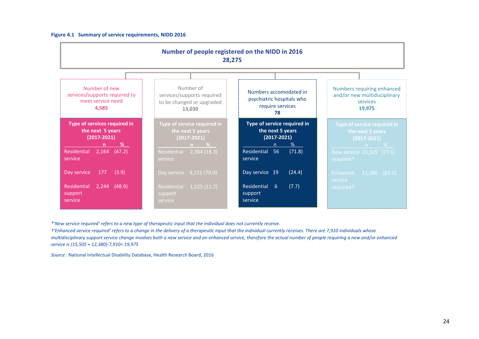### Figure 4.1 Summary of service requirements, NIDD 2016

|                                                                                | Number of people registered on the NIDD in 2016<br>28,275                      |                                                                               |                                                                                  |
|--------------------------------------------------------------------------------|--------------------------------------------------------------------------------|-------------------------------------------------------------------------------|----------------------------------------------------------------------------------|
|                                                                                |                                                                                |                                                                               |                                                                                  |
| Number of new<br>services/supports required to<br>meet service need<br>4,585   | Number of<br>services/supports required<br>to be changed or upgraded<br>13,030 | Numbers accomodated in<br>psychiatric hospitals who<br>require services<br>78 | Numbers requiring enhanced<br>and/or new multidisciplinary<br>services<br>19,975 |
| Type of services required in<br>the next 5 years<br>$(2017 - 2021)$<br>%<br>n. | Type of service required in<br>the next 5 years<br>(2017-2021)<br>$\%$         | Type of service required in<br>the next 5 years<br>$(2017 - 2021)$<br>%       | Type of service required in<br>the next 5 years<br>$(2017 - 2021)$<br>n %        |
| Residential<br>2,164<br>(47.2)<br>service                                      | Residential 2,384 (18.3)<br>service                                            | Residential 56<br>(71.8)<br>service                                           | New service 15,505 (77.6)<br>required*                                           |
| Day service<br>177<br>(3.9)                                                    | Day service 9,121 (70.0)                                                       | Day service 19<br>(24.4)                                                      | Enhanced 12,380 (62.0)                                                           |
| Residential<br>2,244<br>(48.9)<br>support<br>service                           | Residential 1,525 (11.7)<br>support<br>service                                 | Residential<br>(7.7)<br>-6<br>support<br>service                              | service<br>required $\tau$                                                       |

\*'New service required' refers to a new type of therapeutic input that the individual does not currently receive.

†'Enhanced service required' refers to a change in the delivery of a therapeuc input that the individual currently receives. There are 7,910 individuals whose multidisciplinary support service change involves both a new service and an enhanced service, therefore the actual number of people requiring a new and/or enhanced service is (15,505 + 12,380)-7,910= 19,975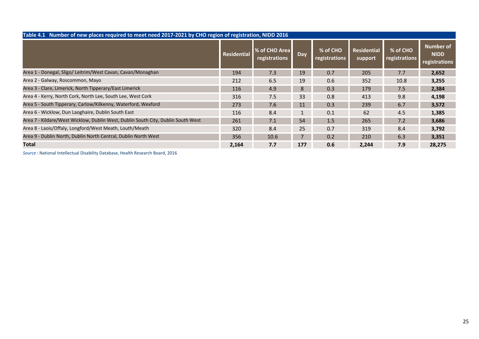| Table 4.1 Number of new places required to meet need 2017-2021 by CHO region of registration, NIDD 2016 |             |                                |              |                           |                               |                                  |                                           |
|---------------------------------------------------------------------------------------------------------|-------------|--------------------------------|--------------|---------------------------|-------------------------------|----------------------------------|-------------------------------------------|
|                                                                                                         | Residential | % of CHO Area<br>registrations | Day          | % of CHO<br>registrations | <b>Residential</b><br>support | % of CHO<br><b>registrations</b> | Number of<br><b>NIDD</b><br>registrations |
| Area 1 - Donegal, Sligo/ Leitrim/West Cavan, Cavan/Monaghan                                             | 194         | 7.3                            | 19           | 0.7                       | 205                           | 7.7                              | 2,652                                     |
| Area 2 - Galway, Roscommon, Mayo                                                                        | 212         | 6.5                            | 19           | 0.6                       | 352                           | 10.8                             | 3,255                                     |
| Area 3 - Clare, Limerick, North Tipperary/East Limerick                                                 | 116         | 4.9                            | 8            | 0.3                       | 179                           | 7.5                              | 2,384                                     |
| Area 4 - Kerry, North Cork, North Lee, South Lee, West Cork                                             | 316         | 7.5                            | 33           | 0.8                       | 413                           | 9.8                              | 4,198                                     |
| Area 5 - South Tipperary, Carlow/Kilkenny, Waterford, Wexford                                           | 273         | 7.6                            | 11           | 0.3                       | 239                           | 6.7                              | 3,572                                     |
| Area 6 - Wicklow, Dun Laoghaire, Dublin South East                                                      | 116         | 8.4                            | $\mathbf{1}$ | 0.1                       | 62                            | 4.5                              | 1,385                                     |
| Area 7 - Kildare/West Wicklow, Dublin West, Dublin South City, Dublin South West                        | 261         | 7.1                            | 54           | 1.5                       | 265                           | 7.2                              | 3,686                                     |
| Area 8 - Laois/Offaly, Longford/West Meath, Louth/Meath                                                 | 320         | 8.4                            | 25           | 0.7                       | 319                           | 8.4                              | 3,792                                     |
| Area 9 - Dublin North, Dublin North Central, Dublin North West                                          | 356         | 10.6                           |              | 0.2                       | 210                           | 6.3                              | 3,351                                     |
| <b>Total</b>                                                                                            | 2,164       | 7.7                            | 177          | 0.6                       | 2,244                         | 7.9                              | 28,275                                    |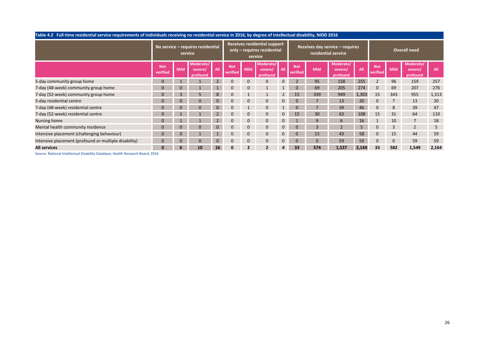| Table 4.2 Full-time residential service requirements of individuals receiving no residential service in 2016, by degree of intellectual disability, NIDD 2016 |                        |                |                                              |                |                        |             |                                                                               |                |                        |                         |                                                        |       |                        |             |                                  |       |
|---------------------------------------------------------------------------------------------------------------------------------------------------------------|------------------------|----------------|----------------------------------------------|----------------|------------------------|-------------|-------------------------------------------------------------------------------|----------------|------------------------|-------------------------|--------------------------------------------------------|-------|------------------------|-------------|----------------------------------|-------|
|                                                                                                                                                               |                        |                | No service - requires residential<br>service |                |                        |             | <b>Receives residential support</b><br>only - requires residential<br>service |                |                        |                         | Receives day service - requires<br>residential service |       |                        |             | Overall need                     |       |
|                                                                                                                                                               | <b>Not</b><br>verified | <b>Mild</b>    | Moderate/<br>severe/<br>profound             | All            | <b>Not</b><br>verified | <b>Mild</b> | Moderate/<br>severe/<br>profound                                              | All            | <b>Not</b><br>verified | <b>Mild</b>             | Moderate/<br>severe/<br>profound                       | All   | <b>Not</b><br>verified | <b>Mild</b> | Moderate/<br>severe/<br>profound | All   |
| 5-day community group home                                                                                                                                    |                        |                |                                              |                |                        | $\Omega$    | $\mathbf{0}$                                                                  | 0              |                        | 95                      | 158                                                    | 255   |                        | 96          | 159                              | 257   |
| 7-day (48-week) community group home                                                                                                                          |                        |                |                                              |                |                        |             |                                                                               |                |                        | 69                      | 205                                                    | 274   |                        | 69          | 207                              | 276   |
| 7-day (52-week) community group home                                                                                                                          | $\Omega$               | $\overline{3}$ | 5                                            | 8              |                        |             |                                                                               |                | 15                     | 339                     | 949                                                    | 1,303 | 15                     | 343         | 955                              | 1,313 |
| 5-day residential centre                                                                                                                                      | 0                      | $\Omega$       | $\Omega$                                     | $\overline{0}$ | $\Omega$               | $\Omega$    | $\mathbf{0}$                                                                  | 0              | $\overline{0}$         |                         | 13                                                     | 20    | $\Omega$               |             | 13                               | 20    |
| 7-day (48-week) residential centre                                                                                                                            | 0                      | $\Omega$       | $\mathbf{0}$                                 | $\overline{0}$ | $\Omega$               |             | $\mathbf{0}$                                                                  |                | $\overline{0}$         |                         | 39                                                     | 46    | $\Omega$               | 8           | 39                               | 47    |
| 7-day (52-week) residential centre                                                                                                                            | 0                      |                |                                              |                | 0                      | $\Omega$    | $\mathbf{0}$                                                                  | 0              | 15                     | 30                      | 63                                                     | 108   | 15                     | 31          | 64                               | 110   |
| Nursing home                                                                                                                                                  | $\Omega$               |                |                                              |                | $\Omega$               | $\Omega$    | $\Omega$                                                                      | 0              |                        |                         | 6                                                      | 16    |                        | 10          | 7                                | 18    |
| Mental health community residence                                                                                                                             | $\Omega$               | $\Omega$       | $\Omega$                                     | $\Omega$       | $\Omega$               | $\Omega$    | $\mathbf{0}$                                                                  | 0              | $\Omega$               | $\overline{\mathbf{3}}$ | $\overline{\phantom{0}}$                               | 5     | $\Omega$               | 3           | $\overline{2}$                   | 5     |
| Intensive placement (challenging behaviour)                                                                                                                   | $\Omega$               |                |                                              |                |                        | $\Omega$    | $\mathbf{0}$                                                                  | $\overline{0}$ | 0                      | 15                      | 43                                                     | 58    | $\Omega$               | 15          | 44                               | 59    |
| Intensive placement (profound or multiple disability)                                                                                                         | 0                      | $\Omega$       | $\Omega$                                     | $\overline{0}$ | $\Omega$               | $\Omega$    | $\mathbf{0}$                                                                  | $\overline{0}$ | $\Omega$               | $\Omega$                | 59                                                     | 59    | $\Omega$               | $\Omega$    | 59                               | 59    |
| <b>All services</b>                                                                                                                                           | 0                      | b              | 10                                           | 16             |                        |             | 2                                                                             | 4              | 33                     | 574                     | 1,537                                                  | 2,144 | 33                     | 582         | 1,549                            | 2,164 |
| Connect Medicard Harolinghad Nicolalist, Northern Higgist November Northelm NAC                                                                               |                        |                |                                              |                |                        |             |                                                                               |                |                        |                         |                                                        |       |                        |             |                                  |       |

#### Table 4.2 Full-time residential service requirements of individuals receiving no residential service in 2016, by degree of intellectual disability, NIDD 2016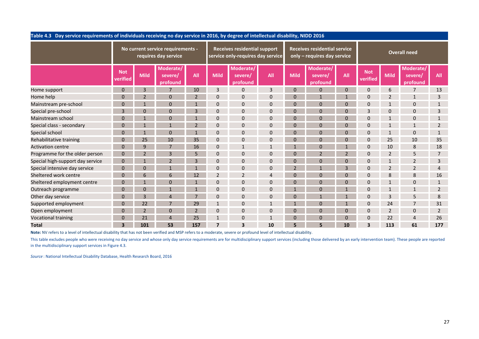|                                  | Table 4.3 Day service requirements of individuals receiving no day service in 2016, by degree of intellectual disability, NIDD 2016                                                        |     |    |     |             |                                                                          |            |             |                                                                    |     |                        |                          |                                  |                |  |  |
|----------------------------------|--------------------------------------------------------------------------------------------------------------------------------------------------------------------------------------------|-----|----|-----|-------------|--------------------------------------------------------------------------|------------|-------------|--------------------------------------------------------------------|-----|------------------------|--------------------------|----------------------------------|----------------|--|--|
|                                  | No current service requirements -<br>requires day service<br>Moderate/<br><b>Not</b><br><b>Mild</b><br>severe/<br>verified<br>profound<br>3<br>$\Omega$<br>$\overline{7}$<br>10<br>25<br>a |     |    |     |             | <b>Receives residential support</b><br>service only-requires day service |            |             | <b>Receives residential service</b><br>only - requires day service |     | <b>Overall need</b>    |                          |                                  |                |  |  |
|                                  |                                                                                                                                                                                            |     |    | All | <b>Mild</b> | Moderate/<br>severe/<br>profound                                         | <b>All</b> | <b>Mild</b> | Moderate/<br>severe/<br>profound                                   | All | <b>Not</b><br>verified | <b>Mild</b>              | Moderate/<br>severe/<br>profound | <b>All</b>     |  |  |
| Home support                     |                                                                                                                                                                                            |     |    | 10  | 3           | $\overline{0}$                                                           | 3          |             | $\overline{0}$                                                     |     | $\mathbf 0$            | 6                        |                                  | 13             |  |  |
| Home help                        |                                                                                                                                                                                            |     |    |     | $\Omega$    | $\overline{0}$                                                           | O          |             |                                                                    |     | $\Omega$               | $\overline{\phantom{a}}$ |                                  | 3              |  |  |
| Mainstream pre-school            |                                                                                                                                                                                            |     |    |     |             | $\Omega$                                                                 |            |             | $\Omega$                                                           |     |                        |                          |                                  |                |  |  |
| Special pre-school               |                                                                                                                                                                                            |     |    |     | $\Omega$    | $\overline{0}$                                                           |            |             | $\Omega$                                                           |     | 3                      |                          |                                  |                |  |  |
| Mainstream school                |                                                                                                                                                                                            |     |    |     | $\Omega$    | $\overline{0}$                                                           | $\Omega$   |             | $\Omega$                                                           |     | C                      |                          |                                  |                |  |  |
| Special class - secondary        |                                                                                                                                                                                            |     |    |     | $\Omega$    | $\Omega$                                                                 |            |             | $\Omega$                                                           |     |                        |                          |                                  |                |  |  |
| Special school                   |                                                                                                                                                                                            |     |    |     | $\Omega$    | $\overline{0}$                                                           |            |             | U                                                                  |     | $\Omega$               |                          |                                  |                |  |  |
| Rehabilitative training          |                                                                                                                                                                                            |     |    | 35  | $\Omega$    | $\Omega$                                                                 | $\Omega$   |             | 0                                                                  |     | $\Omega$               | 25                       | 10                               | 35             |  |  |
| <b>Activation centre</b>         |                                                                                                                                                                                            |     |    | 16  |             |                                                                          |            |             |                                                                    |     |                        | 10                       |                                  | 18             |  |  |
| Programme for the older person   |                                                                                                                                                                                            |     |    |     | $\Omega$    | $\Omega$                                                                 |            |             |                                                                    |     | $\Omega$               | $\mathcal{P}$            |                                  |                |  |  |
| Special high-support day service |                                                                                                                                                                                            |     |    |     | $\Omega$    | $\Omega$                                                                 | $\Omega$   |             | $\Omega$                                                           |     | $\Omega$               |                          |                                  | 3              |  |  |
| Special intensive day service    |                                                                                                                                                                                            |     |    |     | $\Omega$    | $\overline{0}$                                                           |            |             |                                                                    |     |                        |                          |                                  |                |  |  |
| Sheltered work centre            |                                                                                                                                                                                            |     |    |     |             | 2                                                                        |            |             | $\Omega$                                                           |     | $\Omega$               | 8                        |                                  | 16             |  |  |
| Sheltered employment centre      |                                                                                                                                                                                            |     |    |     | $\Omega$    | $\Omega$                                                                 | $\Omega$   |             | $\Omega$                                                           |     | $\Omega$               |                          |                                  |                |  |  |
| Outreach programme               |                                                                                                                                                                                            |     |    |     | O           | $\overline{0}$                                                           | $\Omega$   |             | $\Omega$                                                           |     | C                      |                          |                                  | $\overline{2}$ |  |  |
| Other day service                |                                                                                                                                                                                            | ว   |    |     |             | $\Omega$                                                                 |            |             |                                                                    |     | $\Omega$               | $\mathbf{a}$             |                                  | 8              |  |  |
| Supported employment             |                                                                                                                                                                                            | 22  |    | 29  |             | $\Omega$                                                                 |            |             |                                                                    |     | $\Omega$               | 24                       |                                  | 31             |  |  |
| Open employment                  |                                                                                                                                                                                            | っ   |    | ຳ   |             | $\mathbf{0}$                                                             |            |             | $\overline{0}$                                                     |     | $\Omega$               | $\overline{2}$           | $\Omega$                         | $\overline{2}$ |  |  |
| Vocational training              |                                                                                                                                                                                            | 21  |    | 25  |             | $\overline{0}$                                                           |            |             | $\Omega$                                                           |     | $\Omega$               | 22                       |                                  | 26             |  |  |
| <b>Total</b>                     | 3                                                                                                                                                                                          | 101 | 53 | 157 |             | $\overline{\mathbf{3}}$                                                  | 10         |             | 5.                                                                 | 10  | ર                      | 113                      | 61                               | 177            |  |  |

Note: NV refers to a level of intellectual disability that has not been verified and MSP refers to a moderate, severe or profound level of intellectual disability.

This table excludes people who were receiving no day service and whose only day service requirements are for multidisciplinary support services (including those delivered by an early intervention team). These people are re in the multidisciplinary support services in Figure 4.3.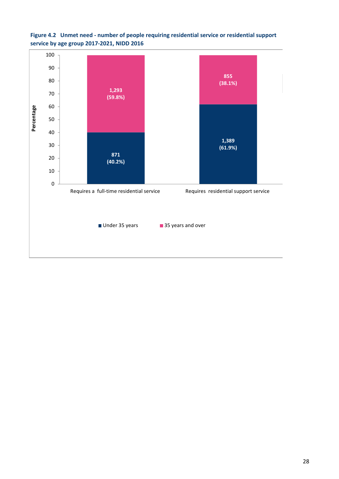

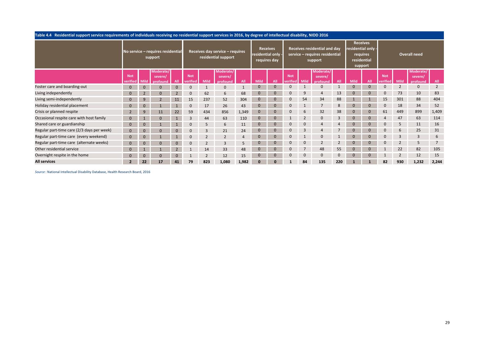| Table 4.4 Residential support service requirements of individuals receiving no residential support services in 2016, by degree of intellectual disability, NIDD 2016 |            |                |                                              |                |              |      |                                                        |       |                  |                                 |            |                |                                                                           |          |                                                          |                 |            |                |                      |                |
|----------------------------------------------------------------------------------------------------------------------------------------------------------------------|------------|----------------|----------------------------------------------|----------------|--------------|------|--------------------------------------------------------|-------|------------------|---------------------------------|------------|----------------|---------------------------------------------------------------------------|----------|----------------------------------------------------------|-----------------|------------|----------------|----------------------|----------------|
|                                                                                                                                                                      |            |                | No service - requires residential<br>support |                |              |      | Receives day service - requires<br>residential support |       | residential only | <b>Receives</b><br>requires day |            |                | Receives residential and day<br>service - requires residential<br>support |          | residential only -<br>requires<br>residential<br>support | <b>Receives</b> |            |                | <b>Overall need</b>  |                |
|                                                                                                                                                                      | <b>Not</b> |                | Moderate/<br>severe/                         |                | <b>Not</b>   |      | Moderate<br>severe/                                    |       |                  |                                 | <b>Not</b> |                | Moderate,<br>severe/                                                      |          |                                                          |                 | <b>Not</b> |                | Moderate/<br>severe/ |                |
|                                                                                                                                                                      | verifiec   | Mild           | profound                                     |                | verified     | Mild | profound                                               | All   | <b>Mild</b>      |                                 | verified   | <b>Mild</b>    | profound                                                                  |          | <b>Mild</b>                                              | All             | verified   | <b>Mild</b>    | profound             | All            |
| Foster care and boarding-out                                                                                                                                         | $\Omega$   | $\Omega$       | $\Omega$                                     | $\overline{0}$ | $\mathbf{0}$ |      | $\Omega$                                               |       |                  |                                 |            |                | $\Omega$                                                                  |          | $\mathbf{0}$                                             | $\Omega$        |            |                | $\mathbf{0}$         | $\overline{2}$ |
| Living independently                                                                                                                                                 |            | $\overline{2}$ | $\Omega$                                     | $\overline{2}$ | $\mathbf 0$  | 62   | 6                                                      | 68    |                  |                                 | C          | 9              | $\overline{4}$                                                            | 13       | $\mathbf{0}$                                             | $\bf{0}$        |            | 73             | 10                   | 83             |
| Living semi-independently                                                                                                                                            |            | 9              |                                              | 11             | 15           | 237  | 52                                                     | 304   |                  |                                 |            | 54             | 34                                                                        | 88       |                                                          |                 | 15         | 301            | 88                   | 404            |
| Holiday residential placement                                                                                                                                        |            | $\mathbf{0}$   |                                              |                | $\mathbf{0}$ | 17   | 26                                                     | 43    |                  |                                 |            |                |                                                                           | 8        |                                                          |                 |            | 18             | 34                   | 52             |
| Crisis or planned respite                                                                                                                                            |            | 9              | 11                                           | 22             | 59           | 434  | 856                                                    | 1,349 |                  |                                 |            | $\mathfrak b$  | 32                                                                        | 38       | $\mathbf{0}$                                             |                 | 61         | 449            | 899                  | 1,409          |
| Occasional respite care with host family                                                                                                                             |            |                |                                              |                | 3            | 44   | 63                                                     | 110   |                  |                                 |            | $\overline{2}$ | $\mathbf 0$                                                               | 3        | $\mathbf{0}$                                             | $\Omega$        |            | 47             | 63                   | 114            |
| Shared care or guardianship                                                                                                                                          |            | $\Omega$       |                                              |                | $\Omega$     | 5    | 6                                                      | 11    |                  |                                 |            | $\mathbf{0}$   |                                                                           |          | $\mathbf{0}$                                             | 0               |            | -5             | 11                   | 16             |
| Regular part-time care (2/3 days per week)                                                                                                                           |            |                |                                              |                |              |      | 21                                                     | 24    |                  |                                 |            | 3              |                                                                           |          |                                                          |                 |            | $\mathfrak b$  | 25                   | 31             |
| Regular part-time care (every weekend)                                                                                                                               |            | $\Omega$       |                                              |                |              |      |                                                        |       |                  |                                 |            |                | $\Omega$                                                                  |          |                                                          |                 |            | 3              | 3                    | 6              |
| Regular part-time care (alternate weeks)                                                                                                                             |            | $\mathbf{0}$   |                                              | 0              | $\mathbf{0}$ |      | 3                                                      | 5     |                  |                                 |            | $\mathbf{0}$   | $\overline{2}$                                                            | 2        | $\mathbf{0}$                                             | $\Omega$        |            | $\overline{2}$ | 5                    | $\overline{7}$ |
| Other residential service                                                                                                                                            |            |                |                                              |                |              | 14   | 33                                                     | 48    |                  |                                 |            |                | 48                                                                        | 55       | $\mathbf{0}$                                             |                 |            | 22             | 82                   | 105            |
| Overnight respite in the home                                                                                                                                        |            |                |                                              |                |              |      | 12                                                     | 15    |                  |                                 |            | 0              | $\mathbf{0}$                                                              | $\Omega$ |                                                          |                 |            |                | 12                   | 15             |
| <b>All services</b>                                                                                                                                                  |            | 22             | 17                                           | 41             | 79           | 823  | 1,080                                                  | 1,982 |                  |                                 |            | 84             | 135                                                                       | 220      |                                                          |                 | 82         | 930            | 1,232                | 2,244          |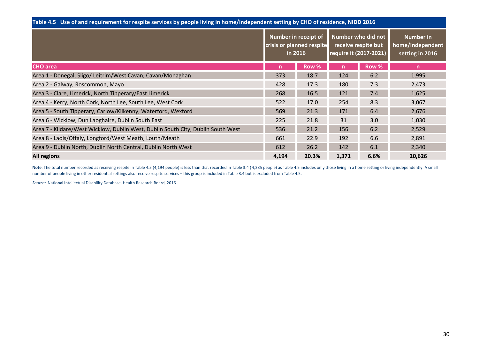| Table 4.5 Use of and requirement for respite services by people living in home/independent setting by CHO of residence, NIDD 2016 |                                                             |                  |
|-----------------------------------------------------------------------------------------------------------------------------------|-------------------------------------------------------------|------------------|
|                                                                                                                                   | Number in receipt of Number who did not                     | <b>Number in</b> |
|                                                                                                                                   | crisis or planned respite receive respite but home/independ |                  |

|                                                                                  | crisis or planned respite<br>in 2016 |       | require it (2017-2021) | receive respite but | home/independent<br>setting in 2016 |
|----------------------------------------------------------------------------------|--------------------------------------|-------|------------------------|---------------------|-------------------------------------|
| <b>CHO</b> area                                                                  | $\mathsf{n}$                         | Row % | n                      | Row %               | $\mathsf{n}$                        |
| Area 1 - Donegal, Sligo/ Leitrim/West Cavan, Cavan/Monaghan                      | 373                                  | 18.7  | 124                    | 6.2                 | 1,995                               |
| Area 2 - Galway, Roscommon, Mayo                                                 | 428                                  | 17.3  | 180                    | 7.3                 | 2,473                               |
| Area 3 - Clare, Limerick, North Tipperary/East Limerick                          | 268                                  | 16.5  | 121                    | 7.4                 | 1,625                               |
| Area 4 - Kerry, North Cork, North Lee, South Lee, West Cork                      | 522                                  | 17.0  | 254                    | 8.3                 | 3,067                               |
| Area 5 - South Tipperary, Carlow/Kilkenny, Waterford, Wexford                    | 569                                  | 21.3  | 171                    | 6.4                 | 2,676                               |
| Area 6 - Wicklow, Dun Laoghaire, Dublin South East                               | 225                                  | 21.8  | 31                     | 3.0                 | 1,030                               |
| Area 7 - Kildare/West Wicklow, Dublin West, Dublin South City, Dublin South West | 536                                  | 21.2  | 156                    | 6.2                 | 2,529                               |
| Area 8 - Laois/Offaly, Longford/West Meath, Louth/Meath                          | 661                                  | 22.9  | 192                    | 6.6                 | 2,891                               |
| Area 9 - Dublin North, Dublin North Central, Dublin North West                   | 612                                  | 26.2  | 142                    | 6.1                 | 2,340                               |
| <b>All regions</b>                                                               | 4,194                                | 20.3% | 1,371                  | 6.6%                | 20,626                              |

**Note**: The total number recorded as receiving respite in Table 4.5 (4,194 people) is less than that recorded in Table 3.4 (4,385 people) as Table 4.5 includes only those living in a home setting or living independently. A number of people living in other residential settings also receive respite services – this group is included in Table 3.4 but is excluded from Table 4.5.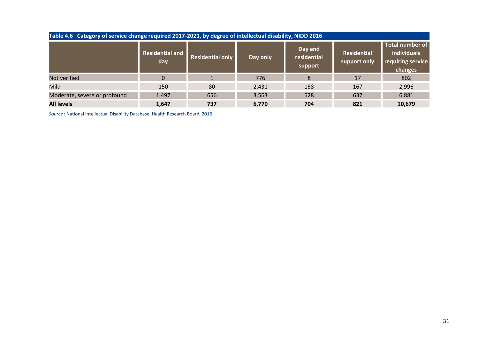| Table 4.6 Category of service change required 2017-2021, by degree of intellectual disability, NIDD 2016 |                               |                         |          |                                   |                                    |                                                                       |
|----------------------------------------------------------------------------------------------------------|-------------------------------|-------------------------|----------|-----------------------------------|------------------------------------|-----------------------------------------------------------------------|
|                                                                                                          | <b>Residential and</b><br>day | <b>Residential only</b> | Day only | Day and<br>residential<br>support | <b>Residential</b><br>support only | <b>Total number of</b><br>individuals<br>requiring service<br>changes |
| Not verified                                                                                             | $\mathbf{0}$                  |                         | 776      | 8                                 | 17                                 | 802                                                                   |
| Mild                                                                                                     | 150                           | 80                      | 2,431    | 168                               | 167                                | 2,996                                                                 |
| Moderate, severe or profound                                                                             | 1,497                         | 656                     | 3,563    | 528                               | 637                                | 6,881                                                                 |
| <b>All levels</b>                                                                                        | 1,647                         | 737                     | 6,770    | 704                               | 821                                | 10,679                                                                |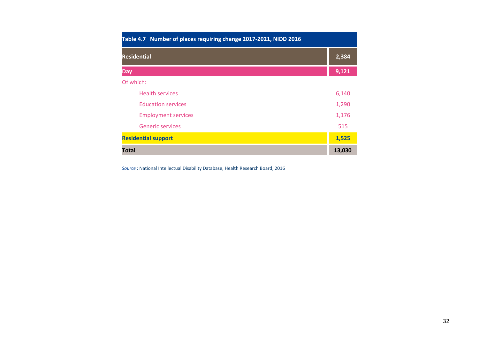| Table 4.7 Number of places requiring change 2017-2021, NIDD 2016 |        |
|------------------------------------------------------------------|--------|
| <b>Residential</b>                                               | 2,384  |
| <b>Day</b>                                                       | 9,121  |
| Of which:                                                        |        |
| <b>Health services</b>                                           | 6,140  |
| <b>Education services</b>                                        | 1,290  |
| <b>Employment services</b>                                       | 1,176  |
| <b>Generic services</b>                                          | 515    |
| <b>Residential support</b>                                       | 1,525  |
| <b>Total</b>                                                     | 13,030 |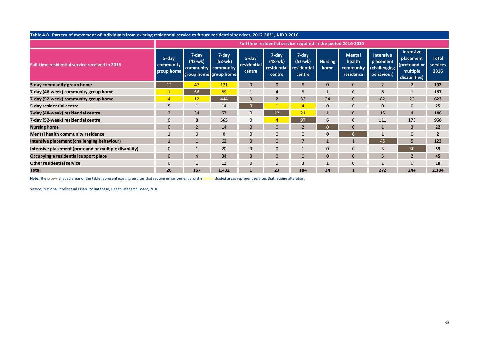|                                                       | Table 4.8 Pattern of movement of individuals from existing residential service to future residential services, 2017-2021, NIDD 2016<br>Full time residential service required in the period 2016-2020<br><b>Intensive</b><br>7-day<br>7-day<br>7-day<br><b>Mental</b><br>7-day<br><b>Intensive</b><br>5-day<br>5-day<br><b>Total</b><br>placement<br>$(48-wk)$<br>$(52-wk)$<br>$(48-wk)$<br>(52-wk)<br>health<br><b>Nursing</b><br>placement<br>residential<br>(profound or<br>services<br>community<br>residential<br>residential<br>(challenging<br>community<br>community community<br>home<br>multiple<br>2016<br>group home<br>centre<br>residence<br>behaviour)<br>group home group home<br>centre<br>centre<br>disabilities)<br>$\overline{2}$<br>12<br>47<br>121<br>$\Omega$<br>$\mathbf 0$<br>$\mathbf{0}$<br>192<br>8<br>56<br>89<br>167<br>-1<br>6<br>33<br>82<br>22<br>623<br>12<br>444<br>$\Omega$<br>$\overline{\phantom{a}}$<br>24<br>$\Omega$<br>$\mathbf 0$<br>25<br>14<br>$\Omega$<br>$\Omega$<br>12<br>21<br>34<br>57<br>15<br>146<br>$\Omega$<br>$\Omega$<br>$\overline{4}$<br>565<br>8<br>$\mathbf 0$<br>97<br>$\Omega$<br>111<br>175<br>966<br>$\Omega$<br>6<br>3<br>14<br>$\Omega$<br>$\Omega$<br>22<br>0<br>$\Omega$<br>$\overline{2}$<br>$\Omega$<br>$\Omega$<br>$\mathbf{0}$<br>$\Omega$<br>$\mathbf{0}$<br>62<br>5<br>$\Omega$<br>$\Omega$<br>45<br>123<br>20<br>30<br>$\mathbf{0}$<br>$\mathbf{0}$<br>$\mathbf{0}$<br>3<br>55<br>0<br>$\mathbf{0}$ |     |       |          |                |     |          |          |     |                |       |
|-------------------------------------------------------|--------------------------------------------------------------------------------------------------------------------------------------------------------------------------------------------------------------------------------------------------------------------------------------------------------------------------------------------------------------------------------------------------------------------------------------------------------------------------------------------------------------------------------------------------------------------------------------------------------------------------------------------------------------------------------------------------------------------------------------------------------------------------------------------------------------------------------------------------------------------------------------------------------------------------------------------------------------------------------------------------------------------------------------------------------------------------------------------------------------------------------------------------------------------------------------------------------------------------------------------------------------------------------------------------------------------------------------------------------------------------------------------------------------------------------------------------------------------------------|-----|-------|----------|----------------|-----|----------|----------|-----|----------------|-------|
|                                                       |                                                                                                                                                                                                                                                                                                                                                                                                                                                                                                                                                                                                                                                                                                                                                                                                                                                                                                                                                                                                                                                                                                                                                                                                                                                                                                                                                                                                                                                                                |     |       |          |                |     |          |          |     |                |       |
| <b>Full-time residential service received in 2016</b> |                                                                                                                                                                                                                                                                                                                                                                                                                                                                                                                                                                                                                                                                                                                                                                                                                                                                                                                                                                                                                                                                                                                                                                                                                                                                                                                                                                                                                                                                                |     |       |          |                |     |          |          |     |                |       |
| 5-day community group home                            |                                                                                                                                                                                                                                                                                                                                                                                                                                                                                                                                                                                                                                                                                                                                                                                                                                                                                                                                                                                                                                                                                                                                                                                                                                                                                                                                                                                                                                                                                |     |       |          |                |     |          |          |     |                |       |
| 7-day (48-week) community group home                  |                                                                                                                                                                                                                                                                                                                                                                                                                                                                                                                                                                                                                                                                                                                                                                                                                                                                                                                                                                                                                                                                                                                                                                                                                                                                                                                                                                                                                                                                                |     |       |          |                |     |          |          |     |                |       |
| 7-day (52-week) community group home                  |                                                                                                                                                                                                                                                                                                                                                                                                                                                                                                                                                                                                                                                                                                                                                                                                                                                                                                                                                                                                                                                                                                                                                                                                                                                                                                                                                                                                                                                                                |     |       |          |                |     |          |          |     |                |       |
| 5-day residential centre                              |                                                                                                                                                                                                                                                                                                                                                                                                                                                                                                                                                                                                                                                                                                                                                                                                                                                                                                                                                                                                                                                                                                                                                                                                                                                                                                                                                                                                                                                                                |     |       |          |                |     |          |          |     |                |       |
| 7-day (48-week) residential centre                    |                                                                                                                                                                                                                                                                                                                                                                                                                                                                                                                                                                                                                                                                                                                                                                                                                                                                                                                                                                                                                                                                                                                                                                                                                                                                                                                                                                                                                                                                                |     |       |          |                |     |          |          |     |                |       |
| 7-day (52-week) residential centre                    |                                                                                                                                                                                                                                                                                                                                                                                                                                                                                                                                                                                                                                                                                                                                                                                                                                                                                                                                                                                                                                                                                                                                                                                                                                                                                                                                                                                                                                                                                |     |       |          |                |     |          |          |     |                |       |
| <b>Nursing home</b>                                   |                                                                                                                                                                                                                                                                                                                                                                                                                                                                                                                                                                                                                                                                                                                                                                                                                                                                                                                                                                                                                                                                                                                                                                                                                                                                                                                                                                                                                                                                                |     |       |          |                |     |          |          |     |                |       |
| Mental health community residence                     |                                                                                                                                                                                                                                                                                                                                                                                                                                                                                                                                                                                                                                                                                                                                                                                                                                                                                                                                                                                                                                                                                                                                                                                                                                                                                                                                                                                                                                                                                |     |       |          |                |     |          |          |     |                |       |
| Intensive placement (challenging behaviour)           |                                                                                                                                                                                                                                                                                                                                                                                                                                                                                                                                                                                                                                                                                                                                                                                                                                                                                                                                                                                                                                                                                                                                                                                                                                                                                                                                                                                                                                                                                |     |       |          |                |     |          |          |     |                |       |
| Intensive placement (profound or multiple disability) |                                                                                                                                                                                                                                                                                                                                                                                                                                                                                                                                                                                                                                                                                                                                                                                                                                                                                                                                                                                                                                                                                                                                                                                                                                                                                                                                                                                                                                                                                |     |       |          |                |     |          |          |     |                |       |
| Occupying a residential support place                 | 0                                                                                                                                                                                                                                                                                                                                                                                                                                                                                                                                                                                                                                                                                                                                                                                                                                                                                                                                                                                                                                                                                                                                                                                                                                                                                                                                                                                                                                                                              |     | 34    | $\Omega$ | $\mathbf{0}$   |     | $\Omega$ | $\Omega$ | 5   | $\overline{2}$ | 45    |
| <b>Other residential service</b>                      | 0                                                                                                                                                                                                                                                                                                                                                                                                                                                                                                                                                                                                                                                                                                                                                                                                                                                                                                                                                                                                                                                                                                                                                                                                                                                                                                                                                                                                                                                                              |     | 12    | $\Omega$ | $\overline{0}$ |     |          |          |     | $\mathbf{0}$   | 18    |
| <b>Total</b>                                          | 26                                                                                                                                                                                                                                                                                                                                                                                                                                                                                                                                                                                                                                                                                                                                                                                                                                                                                                                                                                                                                                                                                                                                                                                                                                                                                                                                                                                                                                                                             | 167 | 1,432 |          | 23             | 184 | 34       |          | 272 | 244            | 2,384 |

Note: The brown shaded areas of the table represent existing services that require enhancement and the yellow shaded areas represent services that require alteration.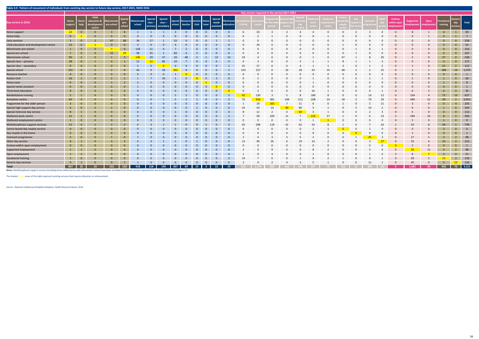|                                        |                         |                         |                                               |                          |                                  |                      |                      |                                           |          |                                                           |                                          |          |                               |                                 |     |       | Day service required in the period 2017-2021 |              |                |                   |                   |          |                 |                                     |                               |                    |                       |                                                                          |                                                                             |
|----------------------------------------|-------------------------|-------------------------|-----------------------------------------------|--------------------------|----------------------------------|----------------------|----------------------|-------------------------------------------|----------|-----------------------------------------------------------|------------------------------------------|----------|-------------------------------|---------------------------------|-----|-------|----------------------------------------------|--------------|----------------|-------------------|-------------------|----------|-----------------|-------------------------------------|-------------------------------|--------------------|-----------------------|--------------------------------------------------------------------------|-----------------------------------------------------------------------------|
| Day service in 2016                    | Home<br>support         | help                    | Child<br>education &<br>development<br>centre | Mainstream<br>pre-school | <b>Special</b><br>pre-<br>school | Mainstream<br>school | Special<br>$class -$ | Special<br>$class -$<br>primary secondary |          | Special Resource Autism Home<br>school teacher Unit tutor |                                          |          | Special<br>needs<br>assistant | <b>Third-level</b><br>education |     |       | ogramr<br>r the ol<br>erson                  | ort da       |                | eltered<br>vork l | heltere<br>nploym |          | <b>Dutreach</b> | Enclave<br>within open<br>employmen | <b>Supported</b><br>mployment | Open<br>employment | Vocationa<br>training | Generic<br>day Total<br>services                                         |                                                                             |
| Home support                           | 22                      | $\overline{\mathbf{0}}$ | $\Omega$                                      |                          | 8                                |                      |                      |                                           | $\sim$ 3 | $\overline{0}$                                            | $\begin{array}{ccc} & 0 & 0 \end{array}$ |          | $\overline{0}$                | $\overline{0}$                  |     | 10    |                                              |              |                |                   |                   |          |                 |                                     |                               |                    | $\overline{4}$        | $1 \t 93$                                                                |                                                                             |
| Home help                              | $\overline{0}$          |                         |                                               |                          |                                  |                      |                      |                                           |          |                                                           |                                          |          |                               |                                 |     |       |                                              |              |                |                   |                   |          |                 |                                     |                               |                    |                       |                                                                          | $\overline{7}$                                                              |
| Early services                         | $\overline{3}$          |                         |                                               |                          |                                  |                      |                      |                                           |          |                                                           |                                          |          |                               |                                 |     |       |                                              |              |                |                   |                   |          |                 |                                     |                               |                    |                       |                                                                          | 258                                                                         |
| Child education and development centre | 12                      | $\overline{0}$          |                                               |                          |                                  |                      |                      |                                           |          |                                                           |                                          |          |                               |                                 |     |       |                                              |              |                |                   |                   |          |                 |                                     |                               |                    |                       | $\Omega$                                                                 | 52                                                                          |
| Mainstream pre-school                  | $\left  \cdot \right $  | $\overline{0}$          |                                               |                          |                                  | 118                  |                      |                                           |          |                                                           |                                          |          |                               |                                 |     |       |                                              |              |                |                   |                   |          |                 |                                     |                               |                    |                       | $\Omega$                                                                 | 154                                                                         |
| Special pre-school                     | $\overline{7}$          | $\overline{0}$          |                                               | 32 <sup>2</sup>          |                                  | 58                   |                      |                                           |          |                                                           |                                          |          |                               |                                 |     |       |                                              |              |                |                   |                   |          |                 |                                     |                               |                    |                       | $\Omega$                                                                 | 247                                                                         |
| Mainstream school                      | 95                      | $\overline{2}$          |                                               |                          |                                  |                      |                      |                                           |          |                                                           |                                          |          |                               | 12                              |     |       |                                              |              |                |                   |                   |          |                 |                                     |                               |                    |                       | $\overline{0}$                                                           | 538                                                                         |
| Special class - primary                | 28                      |                         |                                               |                          |                                  |                      |                      |                                           |          |                                                           |                                          |          |                               |                                 |     |       |                                              |              |                |                   |                   |          |                 |                                     |                               |                    |                       | $\Omega$                                                                 | 177                                                                         |
| Special class - secondary              | -9                      |                         |                                               |                          |                                  |                      |                      |                                           |          |                                                           |                                          |          |                               |                                 |     |       |                                              |              |                |                   |                   |          |                 |                                     |                               |                    |                       |                                                                          | 113                                                                         |
| Special school                         | 131                     | $\overline{4}$          |                                               |                          |                                  |                      |                      |                                           |          |                                                           |                                          |          |                               |                                 | 323 |       |                                              |              |                |                   |                   |          |                 |                                     |                               |                    |                       |                                                                          | 14 1,375                                                                    |
| Resource teacher                       | $\overline{0}$          | $\overline{0}$          |                                               |                          |                                  |                      |                      |                                           |          |                                                           |                                          |          |                               |                                 |     |       |                                              |              |                |                   |                   |          |                 |                                     |                               |                    |                       |                                                                          |                                                                             |
| Autism Unit                            | 16                      |                         |                                               |                          |                                  |                      |                      |                                           |          |                                                           |                                          |          |                               |                                 |     |       |                                              |              |                |                   |                   |          |                 |                                     |                               |                    |                       |                                                                          | 60                                                                          |
| Home tutor                             | $\overline{0}$          | $\Omega$                |                                               |                          |                                  |                      |                      |                                           |          |                                                           |                                          |          |                               |                                 |     |       |                                              |              |                |                   |                   |          |                 |                                     |                               |                    |                       |                                                                          |                                                                             |
| Special needs assistant                | $\overline{0}$          | $\Omega$                |                                               |                          |                                  |                      |                      |                                           |          |                                                           |                                          |          |                               |                                 |     |       |                                              |              |                |                   |                   |          |                 |                                     |                               |                    |                       |                                                                          |                                                                             |
| Third-level education                  | $\overline{0}$          | $\Omega$                |                                               |                          |                                  |                      |                      |                                           |          |                                                           |                                          |          |                               |                                 |     |       |                                              |              |                |                   |                   |          |                 |                                     |                               |                    |                       |                                                                          | 35                                                                          |
| Rehabilitative training                | $\overline{2}$          |                         |                                               |                          |                                  |                      |                      |                                           |          |                                                           |                                          |          |                               |                                 | 42  | 130   |                                              |              |                |                   |                   |          |                 |                                     | 134                           |                    | 73                    |                                                                          | 15 637                                                                      |
| <b>Activation centre</b>               | 63                      | $\overline{4}$          |                                               |                          |                                  |                      |                      |                                           |          |                                                           |                                          |          | $\Omega$                      |                                 | 76  | 916   | 381                                          | 148          | 212            |                   |                   |          |                 |                                     | 449                           |                    | 29                    |                                                                          | 2,651                                                                       |
| Programme for the older person         | $\overline{\mathbf{3}}$ | $\Omega$                |                                               |                          |                                  |                      |                      |                                           |          |                                                           |                                          |          |                               |                                 |     | 18    | 165                                          |              |                |                   |                   |          |                 |                                     |                               |                    |                       | $\overline{4}$                                                           | 235                                                                         |
| Special high-support day service       | $\overline{4}$          | $\Omega$                |                                               |                          | $\Omega$                         |                      |                      |                                           |          |                                                           |                                          |          |                               |                                 |     |       | 14                                           | $90^{\circ}$ | 80             |                   |                   |          |                 |                                     |                               |                    |                       | $\Omega$                                                                 | 293                                                                         |
| Special intensive day service          | 8                       |                         |                                               | $\Omega$                 | - റ                              |                      |                      |                                           |          |                                                           |                                          | $\Omega$ | $\Omega$                      | $\overline{\mathbf{0}}$         |     |       |                                              | $\Lambda$    | $-60$          |                   |                   |          |                 |                                     |                               |                    |                       | $\Omega$                                                                 | 113                                                                         |
| Sheltered work centre                  | 11                      | $\mathbf{1}$            | $\Omega$                                      | $\Omega$                 | $\Omega$                         |                      |                      |                                           |          |                                                           | $\Omega$                                 | $\Omega$ | $\Omega$                      |                                 |     |       | 100                                          | 11           | $\overline{7}$ | 132               | 17                |          |                 |                                     | 194                           | 22                 |                       |                                                                          | 594                                                                         |
| Sheltered employment centre            | $\overline{1}$          | $\overline{0}$          |                                               | $\Omega$                 |                                  |                      |                      |                                           |          |                                                           |                                          |          | $\Omega$                      | $\Omega$                        |     |       |                                              |              |                |                   |                   |          |                 |                                     |                               |                    |                       | $\Omega$                                                                 | $\begin{array}{ c c c c c } \hline \quad & \quad & 9 \\ \hline \end{array}$ |
| Multidisciplinary support services     | 21                      | $\overline{4}$          |                                               |                          |                                  |                      |                      |                                           |          |                                                           |                                          |          |                               |                                 | 45  |       |                                              |              |                |                   |                   |          |                 |                                     |                               |                    | 44                    |                                                                          | 778                                                                         |
| Centre-based day respite service       | $\overline{0}$          | $\overline{0}$          |                                               |                          |                                  |                      |                      |                                           |          |                                                           |                                          |          |                               | $\mathbf{0}$                    |     |       |                                              |              |                |                   |                   |          |                 |                                     |                               |                    |                       |                                                                          | $6\overline{6}$                                                             |
| Day respite in the home                | $\overline{0}$          | $\overline{0}$          |                                               |                          |                                  |                      |                      |                                           |          |                                                           |                                          |          |                               |                                 |     |       |                                              |              |                |                   |                   | $\Omega$ |                 |                                     |                               |                    |                       |                                                                          | $\blacksquare$                                                              |
| Outreach programme                     | $2^{\circ}$             | $\overline{0}$          | $\Omega$                                      |                          |                                  |                      |                      |                                           |          |                                                           |                                          |          |                               |                                 |     |       |                                              |              |                |                   |                   |          |                 |                                     |                               |                    |                       |                                                                          | 98                                                                          |
| Other day service                      | 6 <sup>1</sup>          | $\mathbf{1}$            | $\Omega$                                      |                          |                                  |                      |                      |                                           |          |                                                           |                                          |          |                               |                                 |     |       |                                              |              |                |                   |                   |          |                 |                                     |                               |                    | 10                    |                                                                          | 222                                                                         |
| Enclave within open employment         | $\overline{0}$          | $\overline{0}$          |                                               |                          |                                  |                      |                      |                                           |          |                                                           |                                          |          |                               |                                 |     |       |                                              |              |                |                   |                   |          |                 |                                     |                               |                    |                       | $\Omega$                                                                 | $\begin{array}{ c c c c c }\n\hline\n\text{2} & \text{2}\n\end{array}$      |
| Supported employment                   |                         |                         |                                               |                          |                                  |                      |                      |                                           |          |                                                           |                                          |          |                               |                                 |     |       |                                              |              |                |                   |                   |          |                 |                                     |                               |                    |                       |                                                                          | 98                                                                          |
| Open employment                        |                         |                         |                                               |                          |                                  |                      |                      |                                           |          |                                                           |                                          |          |                               |                                 |     |       |                                              |              |                |                   |                   |          |                 |                                     |                               |                    |                       | $\Omega$                                                                 | 31                                                                          |
| Vocational training                    |                         |                         |                                               |                          |                                  |                      |                      |                                           |          |                                                           |                                          |          |                               |                                 |     |       |                                              |              |                |                   |                   |          |                 |                                     | 59                            |                    |                       |                                                                          | 2 119                                                                       |
| Generic day services                   | 9                       |                         |                                               | $\Omega$                 |                                  |                      |                      |                                           |          |                                                           |                                          |          | $\overline{0}$                |                                 |     |       |                                              |              |                |                   |                   |          |                 |                                     |                               |                    | 5 <sup>5</sup>        | 23 116                                                                   |                                                                             |
| Total                                  | 457                     | 25                      | 10                                            | 152                      | 133                              | 418                  | 118                  |                                           | 193 427  |                                                           |                                          |          | 69 15 3 22                    | 29 <sub>1</sub>                 | 610 | 1.774 | 832                                          |              |                |                   |                   |          |                 |                                     | 1.081                         | 90                 | 442                   | $\begin{array}{ c c c c } \hline 73 & \hline 9,121 \\\hline \end{array}$ |                                                                             |
|                                        |                         |                         |                                               |                          |                                  |                      |                      |                                           |          |                                                           |                                          |          |                               |                                 |     |       |                                              |              |                |                   |                   |          |                 |                                     |                               |                    |                       |                                                                          |                                                                             |

|  | Table 4.9 Pattern of movement of individuals from exisiting day service to future day service, 2017-2021, NIDD 2016 |
|--|---------------------------------------------------------------------------------------------------------------------|

Notes: Multidisciplinary support services (including those delivered by early intervention teams) have been excluded from future service requirements and are documented in Figure 4.3.

The shaded yellow areas of the table represent existing services that require alteration or enhancement.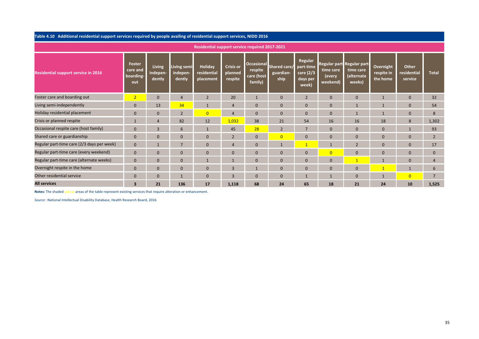Table 4.10 Additional residential support services required by people availing of residential support services, NIDD 2016

|                                            |                                        |                                     |                                    | Residential support service required 2017-2021 |                                        |                                                       |                                   |                                                        |                                 |                                                                |                                     |                                 |                |
|--------------------------------------------|----------------------------------------|-------------------------------------|------------------------------------|------------------------------------------------|----------------------------------------|-------------------------------------------------------|-----------------------------------|--------------------------------------------------------|---------------------------------|----------------------------------------------------------------|-------------------------------------|---------------------------------|----------------|
| <b>Residential support service in 2016</b> | Foster<br>care and<br>boarding-<br>out | <b>Living</b><br>indepen-<br>dently | Living semi-<br>indepen-<br>dently | Holiday<br>residential<br>placement            | <b>Crisis or</b><br>planned<br>respite | <b>Occasional</b><br>respite<br>care (host<br>family) | Shared care/<br>guardian-<br>ship | Regular<br>part-time<br>care (2/3<br>days per<br>week) | time care<br>(every<br>weekend) | Regular part Regular part<br>time care<br>(alternate<br>weeks) | Overnight<br>respite in<br>the home | Other<br>residential<br>service | <b>Total</b>   |
| Foster care and boarding out               | 2                                      | $\mathbf{0}$                        |                                    | $\overline{2}$                                 | 20                                     | $\mathbf{1}$                                          | $\mathbf{0}$                      | $\overline{2}$                                         | $\mathbf{0}$                    | $\Omega$                                                       | $\mathbf{1}$                        | $\mathbf{0}$                    | 32             |
| Living semi-independently                  | $\mathbf{0}$                           | 13                                  | 34                                 | $\mathbf{1}$                                   | $\overline{4}$                         | $\mathbf{0}$                                          | $\mathbf{0}$                      | $\mathbf{0}$                                           | $\mathbf 0$                     |                                                                | $\mathbf{1}$                        | $\mathbf{0}$                    | 54             |
| Holiday residential placement              | $\mathbf{0}$                           | $\mathbf{0}$                        | $\overline{2}$                     | $\overline{0}$                                 | $\overline{4}$                         | $\mathbf{0}$                                          | $\mathbf{0}$                      | $\mathbf{0}$                                           | $\mathbf 0$                     |                                                                | $\mathbf{1}$                        | $\mathbf{0}$                    | 8              |
| Crisis or planned respite                  |                                        | $\overline{4}$                      | 82                                 | 12                                             | 1,032                                  | 38                                                    | 21                                | 54                                                     | 16                              | 16                                                             | 18                                  | 8                               | 1,302          |
| Occasional respite care (host family)      | $\mathbf{0}$                           | $\overline{3}$                      | 6                                  |                                                | 45                                     | 28                                                    | $\overline{2}$                    | $\overline{7}$                                         | $\mathbf{0}$                    | $\Omega$                                                       | $\overline{0}$                      | 1                               | 93             |
| Shared care or guardianship                | $\mathbf{0}$                           | $\mathbf{0}$                        |                                    | $\Omega$                                       | $\overline{2}$                         | $\mathbf{0}$                                          | $\overline{0}$                    | $\overline{0}$                                         | $\mathbf{0}$                    | $\Omega$                                                       | $\overline{0}$                      | $\mathbf{0}$                    | $\overline{2}$ |
| Regular part-time care (2/3 days per week) | $\mathbf{0}$                           |                                     |                                    | $\Omega$                                       | $\overline{4}$                         | $\mathbf{0}$                                          |                                   | $\overline{1}$                                         | $\mathbf{1}$                    | $\overline{2}$                                                 | $\overline{0}$                      | $\mathbf{0}$                    | 17             |
| Regular part-time care (every weekend)     | $\mathbf{0}$                           | $\mathbf{0}$                        |                                    | $\Omega$                                       | $\mathbf{0}$                           | $\mathbf{0}$                                          | $\Omega$                          | $\overline{0}$                                         | $\overline{0}$                  | $\Omega$                                                       | $\overline{0}$                      | $\mathbf{0}$                    | $\Omega$       |
| Regular part-time care (alternate weeks)   | $\mathbf{0}$                           | $\Omega$                            |                                    |                                                | $\mathbf{1}$                           | $\mathbf{0}$                                          | $\Omega$                          | $\overline{0}$                                         | $\mathbf{0}$                    | $\overline{1}$                                                 | $\mathbf{1}$                        | $\mathbf{0}$                    |                |
| Overnight respite in the home              | $\mathbf{0}$                           | $\Omega$                            |                                    | $\Omega$                                       | 3                                      |                                                       | $\Omega$                          | $\overline{0}$                                         | $\mathbf{0}$                    | $\Omega$                                                       | $\mathbf{1}$                        | $\mathbf{1}$                    | 6              |
| Other residential service                  | $\mathbf{0}$                           | $\Omega$                            |                                    | $\Omega$                                       | $\overline{3}$                         | $\Omega$                                              | $\Omega$                          |                                                        |                                 |                                                                | $\mathbf{1}$                        | $\overline{0}$                  | ⇁              |
| <b>All services</b>                        | $\overline{\mathbf{3}}$                | 21                                  | 136                                | 17                                             | 1,118                                  | 68                                                    | 24                                | 65                                                     | 18                              | 21                                                             | 24                                  | 10                              | 1,525          |

Notes: The shaded yellow areas of the table represent existing services that require alteration or enhancement.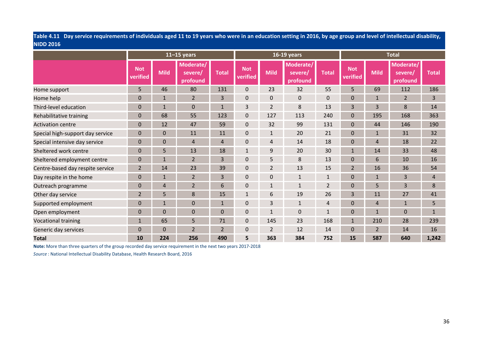Table 4.11 Day service requirements of individuals aged 11 to 19 years who were in an education setting in 2016, by age group and level of intellectual disability, NIDD 2016

|                                  |                        |                | $11-15$ years                    |                |                        |                | 16-19 years                      |                  | <b>Total</b><br>Moderate/ |                |                     |                |
|----------------------------------|------------------------|----------------|----------------------------------|----------------|------------------------|----------------|----------------------------------|------------------|---------------------------|----------------|---------------------|----------------|
|                                  | <b>Not</b><br>verified | <b>Mild</b>    | Moderate/<br>severe/<br>profound | <b>Total</b>   | <b>Not</b><br>verified | <b>Mild</b>    | Moderate/<br>severe/<br>profound | <b>Total</b>     | <b>Not</b><br>verified    | <b>Mild</b>    | severe/<br>profound | <b>Total</b>   |
| Home support                     | 5                      | 46             | 80                               | 131            | $\mathbf 0$            | 23             | 32                               | 55               | 5                         | 69             | 112                 | 186            |
| Home help                        | $\overline{0}$         |                | $\overline{2}$                   | 3              | $\mathbf 0$            | 0              | $\mathbf{0}$                     | $\boldsymbol{0}$ | 0                         | $\mathbf{1}$   | $\overline{2}$      | 3              |
| Third-level education            | $\mathbf{0}$           | 11             | $\overline{0}$                   | 1              | 3                      | 2              | 8                                | 13               | 3                         | 3              | 8                   | 14             |
| Rehabilitative training          | $\overline{0}$         | 68             | 55                               | 123            | $\mathbf 0$            | 127            | 113                              | 240              | 0                         | 195            | 168                 | 363            |
| <b>Activation centre</b>         | $\overline{0}$         | 12             | 47                               | 59             | $\mathbf 0$            | 32             | 99                               | 131              | 0                         | 44             | 146                 | 190            |
| Special high-support day service | $\mathbf{0}$           | $\Omega$       | 11                               | 11             | $\mathbf 0$            | $\mathbf{1}$   | 20                               | 21               | 0                         | $\mathbf{1}$   | 31                  | 32             |
| Special intensive day service    | $\mathbf 0$            | $\Omega$       | 4                                | 4              | $\mathbf 0$            | 4              | 14                               | 18               | 0                         | $\overline{4}$ | 18                  | 22             |
| Sheltered work centre            | $\Omega$               | 5              | 13                               | 18             | 1                      | 9              | 20                               | 30               |                           | 14             | 33                  | 48             |
| Sheltered employment centre      | $\mathbf{0}$           | 1              | $\overline{2}$                   | 3              | $\mathbf{0}$           | 5              | 8                                | 13               | 0                         | 6              | 10                  | 16             |
| Centre-based day respite service | $\overline{2}$         | 14             | 23                               | 39             | $\mathbf{0}$           | $\overline{2}$ | 13                               | 15               | $\overline{2}$            | 16             | 36                  | 54             |
| Day respite in the home          | $\mathbf{0}$           |                | $\overline{2}$                   | 3              | 0                      | $\mathbf{0}$   | $\mathbf{1}$                     | $\mathbf{1}$     | 0                         |                | 3                   | $\overline{4}$ |
| Outreach programme               | $\Omega$               | 4              | $\overline{2}$                   | 6              | 0                      | $\mathbf{1}$   | $\mathbf{1}$                     | $\overline{2}$   | 0                         | 5              | 3                   | 8              |
| Other day service                | $\overline{2}$         | 5              | 8                                | 15             | $\mathbf{1}$           | 6              | 19                               | 26               | 3                         | 11             | 27                  | 41             |
| Supported employment             | $\Omega$               |                | $\overline{0}$                   | 1              | $\overline{0}$         | 3              | $\mathbf{1}$                     | 4                | 0                         | 4              | $\mathbf{1}$        | 5              |
| Open employment                  | $\Omega$               | $\overline{0}$ | $\Omega$                         | $\mathbf{0}$   | 0                      | $\mathbf{1}$   | $\mathbf{0}$                     | $\mathbf{1}$     | 0                         | $\mathbf{1}$   | $\mathbf 0$         | $\mathbf{1}$   |
| <b>Vocational training</b>       | $\mathbf{1}$           | 65             | 5                                | 71             | $\mathbf 0$            | 145            | 23                               | 168              | 1                         | 210            | 28                  | 239            |
| Generic day services             | 0                      | $\Omega$       | $\overline{2}$                   | $\overline{2}$ | 0                      | 2              | 12                               | 14               | 0                         | 2              | 14                  | 16             |
| <b>Total</b>                     | 10                     | 224            | 256                              | 490            | 5                      | 363            | 384                              | 752              | 15                        | 587            | 640                 | 1,242          |

Note: More than three quarters of the group recorded day service requirement in the next two years 2017-2018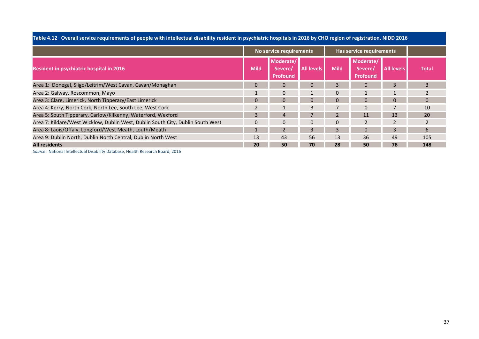|                                                                                 |             | No service requirements          |                   |             | Has service requirements                |                   |              |
|---------------------------------------------------------------------------------|-------------|----------------------------------|-------------------|-------------|-----------------------------------------|-------------------|--------------|
| Resident in psychiatric hospital in 2016                                        | <b>Mild</b> | Moderate/<br>Severe/<br>Profound | <b>All levels</b> | <b>Mild</b> | Moderate/<br>Severe/<br><b>Profound</b> | <b>All levels</b> | <b>Total</b> |
| Area 1: Donegal, Sligo/Leitrim/West Cavan, Cavan/Monaghan                       | $\Omega$    | $\Omega$                         | 0                 |             | $\Omega$                                | 3                 | 3            |
| Area 2: Galway, Roscommon, Mayo                                                 |             | $\Omega$                         |                   | 0           |                                         |                   |              |
| Area 3: Clare, Limerick, North Tipperary/East Limerick                          |             |                                  |                   |             |                                         | $\Omega$          |              |
| Area 4: Kerry, North Cork, North Lee, South Lee, West Cork                      |             |                                  | ς                 |             | $\Omega$                                |                   | 10           |
| Area 5: South Tipperary, Carlow/Kilkenny, Waterford, Wexford                    |             | Δ                                |                   |             | 11                                      | 13                | 20           |
| Area 7: Kildare/West Wicklow, Dublin West, Dublin South City, Dublin South West | $\Omega$    | $\Omega$                         | $\Omega$          | 0           | $\overline{2}$                          | $\overline{2}$    |              |
| Area 8: Laois/Offaly, Longford/West Meath, Louth/Meath                          |             |                                  |                   |             |                                         |                   | 6            |
| Area 9: Dublin North, Dublin North Central, Dublin North West                   | 13          | 43                               | 56                | 13          | 36                                      | 49                | 105          |
| <b>All residents</b>                                                            | 20          | 50                               | 70                | 28          | 50                                      | 78                | 148          |

Table 4.12 Overall service requirements of people with intellectual disability resident in psychiatric hospitals in 2016 by CHO region of registration, NIDD 2016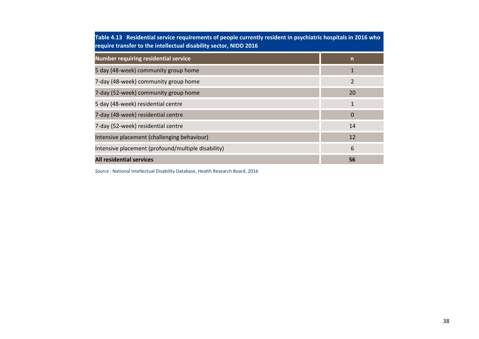| Table 4.13 Residential service requirements of people currently resident in psychiatric hospitals in 2016 who<br>require transfer to the intellectual disability sector, NIDD 2016 |              |  |  |  |  |
|------------------------------------------------------------------------------------------------------------------------------------------------------------------------------------|--------------|--|--|--|--|
| <b>Number requiring residential service</b>                                                                                                                                        | $\mathsf{n}$ |  |  |  |  |
| 5 day (48-week) community group home                                                                                                                                               | 1            |  |  |  |  |
| 7-day (48-week) community group home                                                                                                                                               | 2            |  |  |  |  |
| 7-day (52-week) community group home                                                                                                                                               | 20           |  |  |  |  |
| 5 day (48-week) residential centre                                                                                                                                                 | $\mathbf{1}$ |  |  |  |  |
| 7-day (48-week) residential centre                                                                                                                                                 | $\Omega$     |  |  |  |  |
| 7-day (52-week) residential centre                                                                                                                                                 | 14           |  |  |  |  |
| Intensive placement (challenging behaviour)                                                                                                                                        | 12           |  |  |  |  |
| Intensive placement (profound/multiple disability)                                                                                                                                 | 6            |  |  |  |  |
| <b>All residential services</b>                                                                                                                                                    | 56           |  |  |  |  |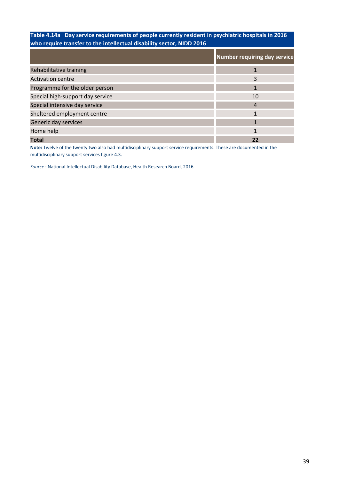# Table 4.14a Day service requirements of people currently resident in psychiatric hospitals in 2016 who require transfer to the intellectual disability sector, NIDD 2016

|                                  | <b>Number requiring day service</b> |
|----------------------------------|-------------------------------------|
| Rehabilitative training          |                                     |
| <b>Activation centre</b>         | 3                                   |
| Programme for the older person   |                                     |
| Special high-support day service | 10                                  |
| Special intensive day service    | 4                                   |
| Sheltered employment centre      |                                     |
| Generic day services             |                                     |
| Home help                        |                                     |
| <b>Total</b>                     |                                     |

Note: Twelve of the twenty two also had multidisciplinary support service requirements. These are documented in the multidisciplinary support services figure 4.3.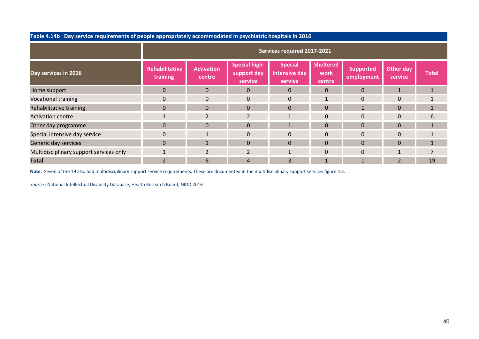| Table 4.14b Day service requirements of people appropriately accommodated in psychiatric hospitals in 2016 |                                   |                             |                                                |                                            |                                    |                                |                      |                |
|------------------------------------------------------------------------------------------------------------|-----------------------------------|-----------------------------|------------------------------------------------|--------------------------------------------|------------------------------------|--------------------------------|----------------------|----------------|
|                                                                                                            | Services required 2017-2021       |                             |                                                |                                            |                                    |                                |                      |                |
| Day services in 2016                                                                                       | <b>Rehabilitative</b><br>training | <b>Activation</b><br>centre | <b>Special high-</b><br>support day<br>service | <b>Special</b><br>intensive day<br>service | <b>Sheltered</b><br>work<br>centre | <b>Supported</b><br>employment | Other day<br>service | <b>Total</b>   |
| Home support                                                                                               | $\mathbf{0}$                      | $\Omega$                    | $\mathbf 0$                                    | $\Omega$                                   | $\Omega$                           | $\Omega$                       |                      | $\mathbf{1}$   |
| <b>Vocational training</b>                                                                                 | $\Omega$                          | $\Omega$                    | $\Omega$                                       | $\Omega$                                   |                                    | $\Omega$                       | $\Omega$             | $\mathbf{1}$   |
| Rehabilitative training                                                                                    | $\mathbf{0}$                      | $\overline{0}$              | $\mathbf{0}$                                   | $\Omega$                                   | $\mathbf{0}$                       | $\mathbf{1}$                   | $\mathbf{0}$         | $\mathbf{1}$   |
| <b>Activation centre</b>                                                                                   |                                   | $\overline{2}$              | $\overline{2}$                                 | $\mathbf{1}$                               | $\mathbf{0}$                       | $\Omega$                       | $\Omega$             | 6              |
| Other day programme                                                                                        | $\Omega$                          | $\Omega$                    | $\Omega$                                       | $\mathbf{1}$                               | $\Omega$                           | $\Omega$                       | $\Omega$             | $\mathbf{1}$   |
| Special intensive day service                                                                              | $\mathbf 0$                       |                             | $\Omega$                                       | $\mathbf{0}$                               | $\Omega$                           | $\Omega$                       | $\mathbf 0$          | $\mathbf{1}$   |
| Generic day services                                                                                       | $\Omega$                          | $\mathbf{1}$                | $\Omega$                                       | $\Omega$                                   | $\Omega$                           | $\Omega$                       | $\Omega$             | $\mathbf{1}$   |
| Multidisciplinary support services only                                                                    |                                   | $2^{\circ}$                 | $\overline{2}$                                 | $\mathbf{1}$                               | $\Omega$                           | $\Omega$                       | 1                    | $\overline{7}$ |
| <b>Total</b>                                                                                               | $\overline{2}$                    | 6                           | 4                                              | 3                                          |                                    |                                | $\overline{2}$       | 19             |

Note: Seven of the 19 also had multidisciplinary support service requirements. These are documented in the multidisciplinary support services figure 4.3.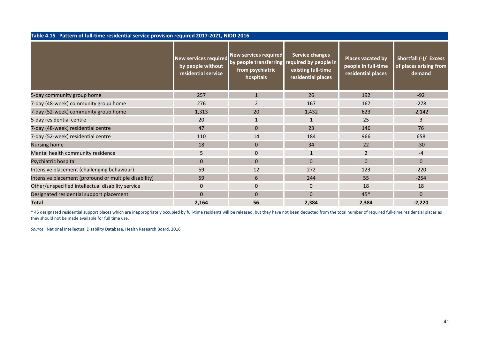| Table 4.15 Pattern of full-time residential service provision required 2017-2021, NIDD 2016 |                                                                          |                                                                                         |                                                                                      |                                                                |                                                           |  |
|---------------------------------------------------------------------------------------------|--------------------------------------------------------------------------|-----------------------------------------------------------------------------------------|--------------------------------------------------------------------------------------|----------------------------------------------------------------|-----------------------------------------------------------|--|
|                                                                                             | <b>New services required</b><br>by people without<br>residential service | <b>New services required</b><br>by people transferring<br>from psychiatric<br>hospitals | Service changes<br>required by people in<br>existing full-time<br>residential places | Places vacated by<br>people in full-time<br>residential places | Shortfall (-)/ Excess<br>of places arising from<br>demand |  |
| 5-day community group home                                                                  | 257                                                                      | $\mathbf{1}$                                                                            | 26                                                                                   | 192                                                            | $-92$                                                     |  |
| 7-day (48-week) community group home                                                        | 276                                                                      | $\overline{2}$                                                                          | 167                                                                                  | 167                                                            | $-278$                                                    |  |
| 7-day (52-week) community group home                                                        | 1,313                                                                    | 20                                                                                      | 1,432                                                                                | 623                                                            | $-2,142$                                                  |  |
| 5-day residential centre                                                                    | 20                                                                       | $\mathbf{1}$                                                                            | $\mathbf{1}$                                                                         | 25                                                             | 3                                                         |  |
| 7-day (48-week) residential centre                                                          | 47                                                                       | $\mathbf{0}$                                                                            | 23                                                                                   | 146                                                            | 76                                                        |  |
| 7-day (52-week) residential centre                                                          | 110                                                                      | 14                                                                                      | 184                                                                                  | 966                                                            | 658                                                       |  |
| Nursing home                                                                                | 18                                                                       | $\mathbf{0}$                                                                            | 34                                                                                   | 22                                                             | $-30$                                                     |  |
| Mental health community residence                                                           | 5                                                                        | $\mathbf 0$                                                                             | $\mathbf{1}$                                                                         | $\overline{2}$                                                 | $-4$                                                      |  |
| Psychiatric hospital                                                                        | $\Omega$                                                                 | $\Omega$                                                                                | $\Omega$                                                                             | $\Omega$                                                       | $\overline{0}$                                            |  |
| Intensive placement (challenging behaviour)                                                 | 59                                                                       | 12                                                                                      | 272                                                                                  | 123                                                            | $-220$                                                    |  |
| Intensive placement (profound or multiple disability)                                       | 59                                                                       | 6                                                                                       | 244                                                                                  | 55                                                             | $-254$                                                    |  |
| Other/unspecified intellectual disability service                                           | $\pmb{0}$                                                                | $\mathbf 0$                                                                             | $\mathbf 0$                                                                          | 18                                                             | 18                                                        |  |
| Designated residential support placement                                                    | $\Omega$                                                                 | $\mathbf{0}$                                                                            | $\Omega$                                                                             | $45*$                                                          | $\Omega$                                                  |  |
| <b>Total</b>                                                                                | 2,164                                                                    | 56                                                                                      | 2,384                                                                                | 2,384                                                          | $-2,220$                                                  |  |

\* 45 designated residential support places which are inappropriately occupied by full-time residents will be released, but they have not been deducted from the total number of required full-time residential places as they should not be made available for full time use.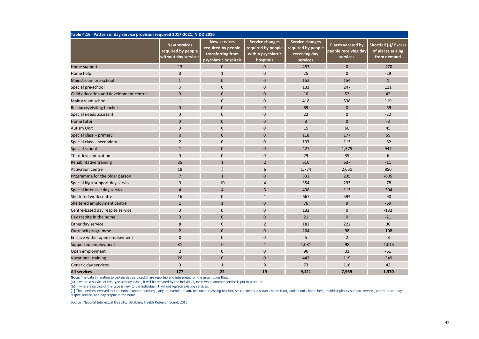| Table 4.16 Pattern of day service provision required 2017-2021, NIDD 2016 |                                                                   |                                                                                         |                                                                                 |                                                                           |                                                       |                                                           |  |  |
|---------------------------------------------------------------------------|-------------------------------------------------------------------|-----------------------------------------------------------------------------------------|---------------------------------------------------------------------------------|---------------------------------------------------------------------------|-------------------------------------------------------|-----------------------------------------------------------|--|--|
|                                                                           | <b>New services</b><br>required by people<br>without day services | <b>New services</b><br>required by people<br>transferring from<br>psychiatric hospitals | <b>Service changes</b><br>required by people<br>within psychiatric<br>hospitals | <b>Service changes</b><br>required by people<br>receiving day<br>services | Places vacated by<br>people receiving day<br>services | Shortfall (-)/ Excess<br>of places arising<br>from demand |  |  |
| Home support                                                              | 13                                                                | $\mathbf 0$                                                                             | $\mathbf 0$                                                                     | 457                                                                       | $\mathbf{0}$                                          | $-470$                                                    |  |  |
| Home help                                                                 | 3                                                                 | $\mathbf{1}$                                                                            | $\mathbf 0$                                                                     | 25                                                                        | $\mathbf 0$                                           | $-29$                                                     |  |  |
| Mainstream pre-school                                                     | $\mathbf{1}$                                                      | $\mathbf{0}$                                                                            | $\mathbf{0}$                                                                    | 152                                                                       | 154                                                   | $\mathbf{1}$                                              |  |  |
| Special pre-school                                                        | 3                                                                 | $\mathbf 0$                                                                             | $\mathbf 0$                                                                     | 133                                                                       | 247                                                   | 111                                                       |  |  |
| Child education and development centre                                    | $\mathbf{0}$                                                      | $\mathbf{0}$                                                                            | $\mathbf{0}$                                                                    | 10                                                                        | 52                                                    | 42                                                        |  |  |
| Mainstream school                                                         | $\mathbf{1}$                                                      | $\mathbf 0$                                                                             | 0                                                                               | 418                                                                       | 538                                                   | 119                                                       |  |  |
| Resource/visiting teacher                                                 | $\mathbf{0}$                                                      | $\mathbf{0}$                                                                            | $\mathbf{0}$                                                                    | 69                                                                        | $\mathbf{0}$                                          | $-69$                                                     |  |  |
| Special needs assistant                                                   | $\pmb{0}$                                                         | $\mathbf 0$                                                                             | 0                                                                               | 22                                                                        | $\mathbf 0$                                           | $-22$                                                     |  |  |
| Home tutor                                                                | $\mathbf{0}$                                                      | $\mathbf{0}$                                                                            | $\mathbf{0}$                                                                    | $\overline{3}$                                                            | $\mathbf{0}$                                          | $-3$                                                      |  |  |
| <b>Autism Unit</b>                                                        | $\mathbf 0$                                                       | $\mathbf{0}$                                                                            | $\mathbf{0}$                                                                    | 15                                                                        | 60                                                    | 45                                                        |  |  |
| Special class - primary                                                   | $\mathbf{0}$                                                      | $\mathbf{0}$                                                                            | $\mathbf 0$                                                                     | 118                                                                       | 177                                                   | 59                                                        |  |  |
| Special class - secondary                                                 | $\overline{2}$                                                    | $\mathbf{0}$                                                                            | $\mathbf{0}$                                                                    | 193                                                                       | 113                                                   | $-82$                                                     |  |  |
| Special school                                                            | $\mathbf{1}$                                                      | $\mathbf{0}$                                                                            | $\mathbf{0}$                                                                    | 427                                                                       | 1,375                                                 | 947                                                       |  |  |
| Third-level education                                                     | $\mathbf 0$                                                       | $\mathbf{0}$                                                                            | 0                                                                               | 29                                                                        | 35                                                    | 6                                                         |  |  |
| Rehabilitative training                                                   | 35                                                                | $\mathbf{1}$                                                                            | $\overline{2}$                                                                  | 610                                                                       | 637                                                   | $-11$                                                     |  |  |
| <b>Activation centre</b>                                                  | 18                                                                | 3                                                                                       | 6                                                                               | 1,774                                                                     | 2,651                                                 | 850                                                       |  |  |
| Programme for the older person                                            | $7\overline{ }$                                                   | $\mathbf{1}$                                                                            | $\mathbf{0}$                                                                    | 832                                                                       | 235                                                   | $-605$                                                    |  |  |
| Special high-support day service                                          | 3                                                                 | 10                                                                                      | $\overline{4}$                                                                  | 354                                                                       | 293                                                   | $-78$                                                     |  |  |
| Special intensive day service                                             | $\overline{4}$                                                    | $\overline{4}$                                                                          | $\overline{3}$                                                                  | 496                                                                       | 113                                                   | $-394$                                                    |  |  |
| Sheltered work centre                                                     | 16                                                                | $\mathbf 0$                                                                             | $\mathbf 1$                                                                     | 667                                                                       | 594                                                   | $-90$                                                     |  |  |
| Sheltered employment centre                                               | $\mathbf{1}$                                                      | $\mathbf{1}$                                                                            | $\mathbf{0}$                                                                    | 76                                                                        | 9                                                     | $-69$                                                     |  |  |
| Centre-based day respite service                                          | $\mathbf 0$                                                       | $\mathbf 0$                                                                             | $\mathbf{0}$                                                                    | 132                                                                       | $\mathbf 0$                                           | $-132$                                                    |  |  |
| Day respite in the home                                                   | $\mathbf{0}$                                                      | $\mathbf{0}$                                                                            | $\mathbf{0}$                                                                    | 21                                                                        | $\mathbf{0}$                                          | $-21$                                                     |  |  |
| Other day service                                                         | 8                                                                 | $\mathbf 0$                                                                             | $\overline{2}$                                                                  | 182                                                                       | 222                                                   | 30                                                        |  |  |
| Outreach programme                                                        | $\overline{2}$                                                    | $\mathbf{0}$                                                                            | $\mathbf{0}$                                                                    | 204                                                                       | 98                                                    | $-108$                                                    |  |  |
| Enclave within open employment                                            | $\mathbf 0$                                                       | $\mathbf{0}$                                                                            | $\mathbf{0}$                                                                    | 5                                                                         | $\overline{2}$                                        | $-3$                                                      |  |  |
| Supported employment                                                      | 31                                                                | $\mathbf{0}$                                                                            | $\mathbf{1}$                                                                    | 1,081                                                                     | 98                                                    | $-1,015$                                                  |  |  |
| Open employment                                                           | $\overline{2}$                                                    | $\mathbf{0}$                                                                            | $\mathbf{0}$                                                                    | 90                                                                        | 31                                                    | $-61$                                                     |  |  |
| <b>Vocational training</b>                                                | 26                                                                | $\Omega$                                                                                | $\Omega$                                                                        | 442                                                                       | 119                                                   | $-349$                                                    |  |  |
| Generic day services                                                      | $\mathbf 0$                                                       | $\mathbf{1}$                                                                            | $\mathbf 0$                                                                     | 73                                                                        | 116                                                   | 42                                                        |  |  |
| <b>All services</b>                                                       | 177                                                               | 22                                                                                      | 19                                                                              | 9,121                                                                     | 7,969                                                 | $-1,370$                                                  |  |  |

Note: The data in relation to certain day services[1] are reported and interpreted on the assumption that:

(a) where a service of this type already exists, it will be retained by the individual, even when another service is put in place, or

(b) where a service of this type is new to the individual, it will not replace existing services.

[1] The services involved include home support services, early intervention team, resource or visiting teacher, special needs assistant, home tutor, autism unit, home help, multidisciplinary support services, centre-based respite service, and day respite in the home.